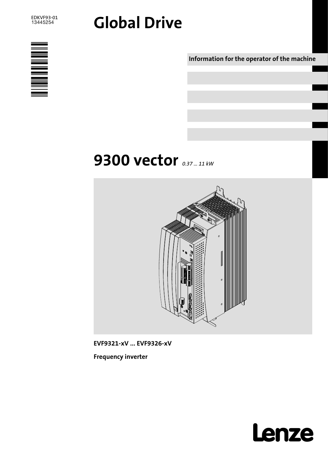# Global Drive



Information for the operator of the machine

# 9300 vector 0.37... 11 kw



EVF9321−xV ... EVF9326−xV

Frequency inverter

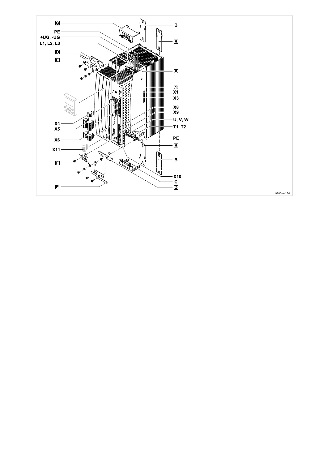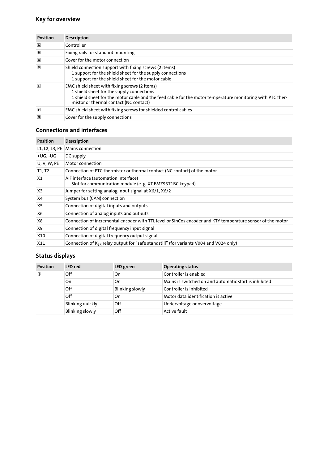# Key for overview

| <b>Position</b> | <b>Description</b>                                                                                                                                                                                                                                |
|-----------------|---------------------------------------------------------------------------------------------------------------------------------------------------------------------------------------------------------------------------------------------------|
| $\blacksquare$  | Controller                                                                                                                                                                                                                                        |
| B               | Fixing rails for standard mounting                                                                                                                                                                                                                |
| $\overline{c}$  | Cover for the motor connection                                                                                                                                                                                                                    |
| D               | Shield connection support with fixing screws (2 items)<br>1 support for the shield sheet for the supply connections<br>1 support for the shield sheet for the motor cable                                                                         |
| E               | EMC shield sheet with fixing screws (2 items)<br>1 shield sheet for the supply connections<br>1 shield sheet for the motor cable and the feed cable for the motor temperature monitoring with PTC ther-<br>mistor or thermal contact (NC contact) |
| 间               | EMC shield sheet with fixing screws for shielded control cables                                                                                                                                                                                   |
| G               | Cover for the supply connections                                                                                                                                                                                                                  |

# Connections and interfaces

| <b>Position</b>                 | <b>Description</b>                                                                                         |
|---------------------------------|------------------------------------------------------------------------------------------------------------|
| L1, L2, L3, PE                  | Mains connection                                                                                           |
| +UG, -UG                        | DC supply                                                                                                  |
| U, V, W, PE                     | Motor connection                                                                                           |
| T <sub>1</sub> , T <sub>2</sub> | Connection of PTC thermistor or thermal contact (NC contact) of the motor                                  |
| X1                              | AIF interface (automation interface)<br>Slot for communication module (e. g. XT EMZ9371BC keypad)          |
| X3                              | Jumper for setting analog input signal at X6/1, X6/2                                                       |
| X4                              | System bus (CAN) connection                                                                                |
| X5                              | Connection of digital inputs and outputs                                                                   |
| X6                              | Connection of analog inputs and outputs                                                                    |
| X8                              | Connection of incremental encoder with TTL level or SinCos encoder and KTY temperature sensor of the motor |
| X9                              | Connection of digital frequency input signal                                                               |
| X10                             | Connection of digital frequency output signal                                                              |
| X11                             | Connection of $K_{SR}$ relay output for "safe standstill" (for variants V004 and V024 only)                |

# Status displays

| <b>Position</b> | <b>LED</b> red         | LED green              | <b>Operating status</b>                               |
|-----------------|------------------------|------------------------|-------------------------------------------------------|
| $\circled{0}$   | Off                    | On                     | Controller is enabled                                 |
|                 | On                     | On                     | Mains is switched on and automatic start is inhibited |
|                 | Off                    | <b>Blinking slowly</b> | Controller is inhibited                               |
|                 | Off                    | On                     | Motor data identification is active                   |
|                 | Blinking quickly       | Off                    | Undervoltage or overvoltage                           |
|                 | <b>Blinking slowly</b> | Off                    | Active fault                                          |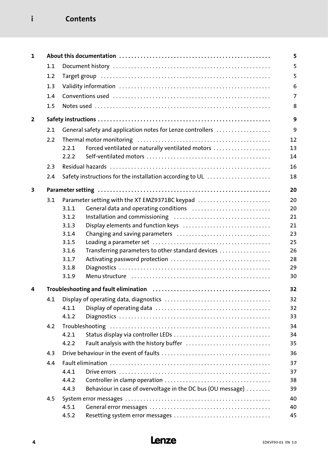# i Contents

| 1            |     |                |                                                                                                                  | 5              |  |  |  |
|--------------|-----|----------------|------------------------------------------------------------------------------------------------------------------|----------------|--|--|--|
|              | 1.1 |                |                                                                                                                  | 5              |  |  |  |
|              | 1.2 |                |                                                                                                                  | 5              |  |  |  |
|              | 1.3 |                |                                                                                                                  | 6              |  |  |  |
|              | 1.4 |                |                                                                                                                  | $\overline{7}$ |  |  |  |
|              | 1.5 |                |                                                                                                                  | 8              |  |  |  |
|              |     |                |                                                                                                                  |                |  |  |  |
| $\mathbf{2}$ |     |                |                                                                                                                  | 9              |  |  |  |
|              | 2.1 |                | General safety and application notes for Lenze controllers                                                       | 9              |  |  |  |
|              | 2.2 |                |                                                                                                                  | 12             |  |  |  |
|              |     | 2.2.1          | Forced ventilated or naturally ventilated motors                                                                 | 13             |  |  |  |
|              |     | 2.2.2          |                                                                                                                  | 14             |  |  |  |
|              | 2.3 |                |                                                                                                                  | 16             |  |  |  |
|              | 2.4 |                | Safety instructions for the installation according to UL                                                         | 18             |  |  |  |
|              |     |                |                                                                                                                  |                |  |  |  |
| 3            |     |                |                                                                                                                  | 20             |  |  |  |
|              | 3.1 |                | Parameter setting with the XT EMZ9371BC keypad                                                                   | 20             |  |  |  |
|              |     | 3.1.1          | General data and operating conditions                                                                            | 20             |  |  |  |
|              |     | 3.1.2          |                                                                                                                  | 21             |  |  |  |
|              |     | 3.1.3          | Display elements and function keys                                                                               | 21             |  |  |  |
|              |     | 3.1.4          |                                                                                                                  | 23             |  |  |  |
|              |     | 3.1.5          |                                                                                                                  | 25             |  |  |  |
|              |     | 3.1.6          | Transferring parameters to other standard devices                                                                | 26<br>28       |  |  |  |
|              |     | 3.1.7<br>3.1.8 |                                                                                                                  | 29             |  |  |  |
|              |     | 3.1.9          | Menu structure (all contains and contained all contains and menu structure and menu structure and menu structure | 30             |  |  |  |
|              |     |                |                                                                                                                  |                |  |  |  |
| 4            |     |                |                                                                                                                  | 32             |  |  |  |
|              | 4.1 |                |                                                                                                                  | 32             |  |  |  |
|              |     | 4.1.1          |                                                                                                                  | 32             |  |  |  |
|              |     | 4.1.2          |                                                                                                                  | 33             |  |  |  |
|              | 4.2 |                |                                                                                                                  | 34             |  |  |  |
|              |     | 4.2.1          |                                                                                                                  | 34             |  |  |  |
|              |     | 4.2.2          | Fault analysis with the history buffer                                                                           | 35             |  |  |  |
|              | 4.3 |                |                                                                                                                  |                |  |  |  |
|              | 4.4 |                |                                                                                                                  | 37             |  |  |  |
|              |     | 4.4.1          |                                                                                                                  | 37             |  |  |  |
|              |     | 4.4.2          |                                                                                                                  | 38             |  |  |  |
|              |     | 4.4.3          | Behaviour in case of overvoltage in the DC bus (OU message)                                                      | 39             |  |  |  |
|              | 4.5 |                |                                                                                                                  | 40             |  |  |  |
|              |     | 4.5.1          |                                                                                                                  | 40             |  |  |  |
|              |     | 4.5.2          |                                                                                                                  | 45             |  |  |  |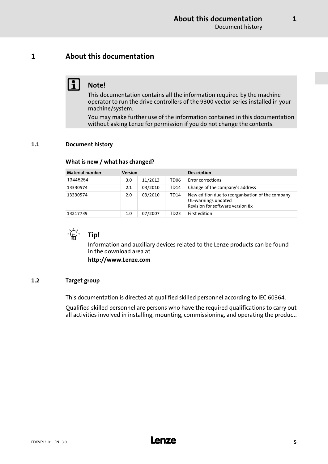# <span id="page-4-0"></span>1 About this documentation

#### $\vert \cdot \vert$ Note!

This documentation contains all the information required by the machine operator to run the drive controllers of the 9300 vector series installed in your machine/system.

You may make further use of the information contained in this documentation without asking Lenze for permission if you do not change the contents.

# 1.1 Document history

#### What is new / what has changed?

| <b>Material number</b> | <b>Version</b> |         |                  | <b>Description</b>                                                                                          |
|------------------------|----------------|---------|------------------|-------------------------------------------------------------------------------------------------------------|
| 13445254               | 3.0            | 11/2013 | TD <sub>06</sub> | <b>Error corrections</b>                                                                                    |
| 13330574               | 2.1            | 03/2010 | TD14             | Change of the company's address                                                                             |
| 13330574               | 2.0            | 03/2010 | TD14             | New edition due to reorganisation of the company<br>UL-warnings updated<br>Revision for software version 8x |
| 13217739               | 1.0            | 07/2007 | TD23             | First edition                                                                                               |



Information and auxiliary devices related to the Lenze products can be found in the download area at

http://www.Lenze.com

### 1.2 Target group

This documentation is directed at qualified skilled personnel according to IEC 60364.

Qualified skilled personnel are persons who have the required qualifications to carry out all activities involved in installing, mounting, commissioning, and operating the product.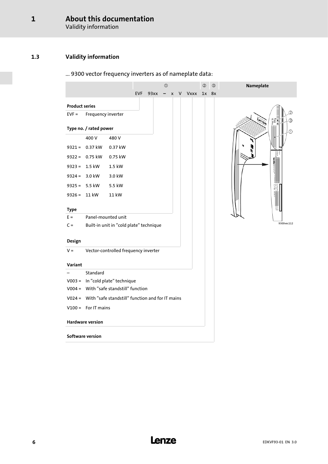#### <span id="page-5-0"></span>About this documentation [1](#page-4-0)

Validity information

# 1.3 Validity information

# ... 9300 vector frequency inverters as of nameplate data:

|                       |                         |                                                         |            |      | $\odot$ |                | $\circledcirc$ | $\circledS$ | Nameplate  |
|-----------------------|-------------------------|---------------------------------------------------------|------------|------|---------|----------------|----------------|-------------|------------|
|                       |                         |                                                         | <b>EVF</b> | 93xx |         | x V Vxxx 1x 8x |                |             |            |
| <b>Product series</b> |                         |                                                         |            |      |         |                |                |             |            |
| $EVF =$               | Frequency inverter      |                                                         |            |      |         |                |                |             |            |
|                       | Type no. / rated power  |                                                         |            |      |         |                |                |             |            |
|                       | 400 V                   | 480 V                                                   |            |      |         |                |                |             |            |
|                       | $9321 = 0.37$ kW        | 0.37 kW                                                 |            |      |         |                |                |             |            |
|                       | $9322 = 0.75$ kW        | 0.75 kW                                                 |            |      |         |                |                |             |            |
|                       | $9323 = 1.5$ kW         | 1.5 kW                                                  |            |      |         |                |                |             |            |
|                       | $9324 = 3.0$ kW         | 3.0 kW                                                  |            |      |         |                |                |             |            |
|                       | $9325 = 5.5$ kW         | 5.5 kW                                                  |            |      |         |                |                |             |            |
|                       | $9326 = 11$ kW          | 11 kW                                                   |            |      |         |                |                |             |            |
|                       |                         |                                                         |            |      |         |                |                |             |            |
| <b>Type</b>           |                         |                                                         |            |      |         |                |                |             |            |
| $E =$                 |                         | Panel-mounted unit                                      |            |      |         |                |                |             |            |
| $C =$                 |                         | Built-in unit in "cold plate" technique                 |            |      |         |                |                |             | 9300vec112 |
| Design                |                         |                                                         |            |      |         |                |                |             |            |
| $V =$                 |                         | Vector-controlled frequency inverter                    |            |      |         |                |                |             |            |
| Variant               |                         |                                                         |            |      |         |                |                |             |            |
|                       | Standard                |                                                         |            |      |         |                |                |             |            |
|                       |                         | V003 = In "cold plate" technique                        |            |      |         |                |                |             |            |
|                       |                         | V004 = With "safe standstill" function                  |            |      |         |                |                |             |            |
|                       |                         | V024 = With "safe standstill" function and for IT mains |            |      |         |                |                |             |            |
|                       | $V100 =$ For IT mains   |                                                         |            |      |         |                |                |             |            |
|                       | <b>Hardware version</b> |                                                         |            |      |         |                |                |             |            |
|                       | <b>Software version</b> |                                                         |            |      |         |                |                |             |            |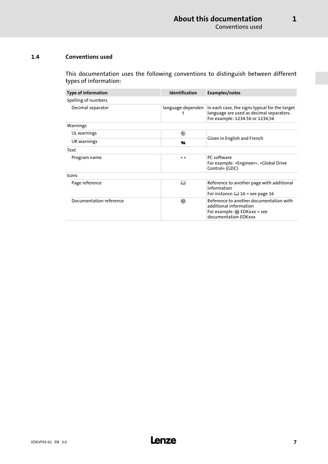[1](#page-4-0)

# <span id="page-6-0"></span>1.4 Conventions used

This documentation uses the following conventions to distinguish between different types of information:

| <b>Type of information</b> | <b>Identification</b> | Examples/notes                                                                                                                     |  |
|----------------------------|-----------------------|------------------------------------------------------------------------------------------------------------------------------------|--|
| Spelling of numbers        |                       |                                                                                                                                    |  |
| Decimal separator          | language-dependen     | In each case, the signs typical for the target<br>language are used as decimal separators.<br>For example: 1234.56 or 1234,56      |  |
| Warnings                   |                       |                                                                                                                                    |  |
| UL warnings                | $^{\circledR}$        |                                                                                                                                    |  |
| UR warnings                | w                     | Given in English and French                                                                                                        |  |
| Text                       |                       |                                                                                                                                    |  |
| Program name               | >                     | PC software<br>For example: »Engineer«, »Global Drive<br>Control« (GDC)                                                            |  |
| Icons                      |                       |                                                                                                                                    |  |
| Page reference             | ◫                     | Reference to another page with additional<br>information<br>For instance: $\Box$ 16 = see page 16                                  |  |
| Documentation reference    | ⊛                     | Reference to another documentation with<br>additional information<br>For example: $\mathbb Q$ EDKxxx = see<br>documentation EDKxxx |  |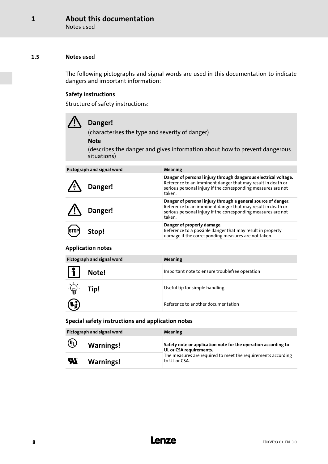Notes used

#### <span id="page-7-0"></span>1.5 Notes used

The following pictographs and signal words are used in this documentation to indicate dangers and important information:

### Safety instructions

Structure of safety instructions:

| Danger!<br>(characterises the type and severity of danger)<br><b>Note</b><br>(describes the danger and gives information about how to prevent dangerous<br>situations) |                                                                                                                                                                                                           |  |  |  |  |
|------------------------------------------------------------------------------------------------------------------------------------------------------------------------|-----------------------------------------------------------------------------------------------------------------------------------------------------------------------------------------------------------|--|--|--|--|
| Pictograph and signal word                                                                                                                                             | <b>Meaning</b>                                                                                                                                                                                            |  |  |  |  |
| Danger!                                                                                                                                                                | Danger of personal injury through dangerous electrical voltage.<br>Reference to an imminent danger that may result in death or<br>serious personal injury if the corresponding measures are not<br>taken. |  |  |  |  |
| Danger!                                                                                                                                                                | Danger of personal injury through a general source of danger.<br>Reference to an imminent danger that may result in death or<br>serious personal injury if the corresponding measures are not<br>taken.   |  |  |  |  |
|                                                                                                                                                                        | Danger of property damage.                                                                                                                                                                                |  |  |  |  |

# Application notes

(STOP) Stop!

|                       | Pictograph and signal word | <b>Meaning</b>                                 |
|-----------------------|----------------------------|------------------------------------------------|
| $\mathbf{1}$          | Note!                      | Important note to ensure troublefree operation |
| $-\underline{\omega}$ | Tip!                       | Useful tip for simple handling                 |
| $\mathbf{Q}$          |                            | Reference to another documentation             |

Reference to a possible danger that may result in property damage if the corresponding measures are not taken.

#### Special safety instructions and application notes

|                            | Pictograph and signal word | <b>Meaning</b>                                                                            |
|----------------------------|----------------------------|-------------------------------------------------------------------------------------------|
| $\circledR$                | <b>Warnings!</b>           | Safety note or application note for the operation according to<br>UL or CSA requirements. |
| $\boldsymbol{\mathcal{H}}$ | <b>Warnings!</b>           | The measures are required to meet the requirements according<br>to UL or CSA.             |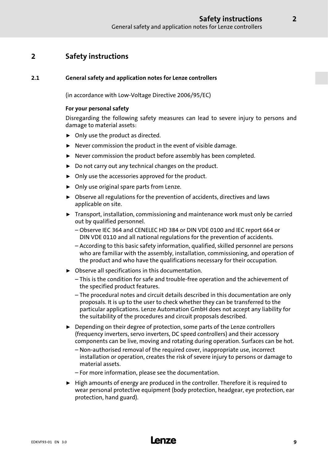# <span id="page-8-0"></span>2 Safety instructions

#### 2.1 General safety and application notes for Lenze controllers

(in accordance with Low−Voltage Directive 2006/95/EC)

#### For your personal safety

Disregarding the following safety measures can lead to severe injury to persons and damage to material assets:

- $\triangleright$  Only use the product as directed.
- $\blacktriangleright$  Never commission the product in the event of visible damage.
- $\blacktriangleright$  Never commission the product before assembly has been completed.
- $\triangleright$  Do not carry out any technical changes on the product.
- $\triangleright$  Only use the accessories approved for the product.
- $\triangleright$  Only use original spare parts from Lenze.
- $\triangleright$  Observe all regulations for the prevention of accidents, directives and laws applicable on site.
- $\blacktriangleright$  Transport, installation, commissioning and maintenance work must only be carried out by qualified personnel.
	- Observe IEC 364 and CENELEC HD 384 or DIN VDE 0100 and IEC report 664 or DIN VDE 0110 and all national regulations for the prevention of accidents.
	- According to this basic safety information, qualified, skilled personnel are persons who are familiar with the assembly, installation, commissioning, and operation of the product and who have the qualifications necessary for their occupation.
- $\triangleright$  Observe all specifications in this documentation.
	- This is the condition for safe and trouble−free operation and the achievement of the specified product features.
	- The procedural notes and circuit details described in this documentation are only proposals. It is up to the user to check whether they can be transferred to the particular applications. Lenze Automation GmbH does not accept any liability for the suitability of the procedures and circuit proposals described.
- ▶ Depending on their degree of protection, some parts of the Lenze controllers (frequency inverters, servo inverters, DC speed controllers) and their accessory components can be live, moving and rotating during operation. Surfaces can be hot.
	- Non−authorised removal of the required cover, inappropriate use, incorrect installation or operation, creates the risk of severe injury to persons or damage to material assets.
	- For more information, please see the documentation.
- $\blacktriangleright$  High amounts of energy are produced in the controller. Therefore it is required to wear personal protective equipment (body protection, headgear, eye protection, ear protection, hand guard).

# EDKVF93−01 EN 3.0 **Lenze**

2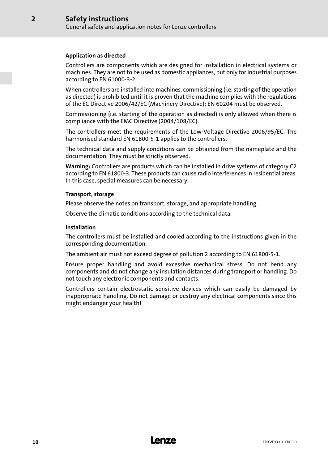### Application as directed

[2](#page-8-0)

Controllers are components which are designed for installation in electrical systems or machines. They are not to be used as domestic appliances, but only for industrial purposes according to EN 61000−3−2.

When controllers are installed into machines, commissioning (i.e. starting of the operation as directed) is prohibited until it is proven that the machine complies with the regulations of the EC Directive 2006/42/EC (Machinery Directive); EN 60204 must be observed.

Commissioning (i.e. starting of the operation as directed) is only allowed when there is compliance with the EMC Directive (2004/108/EC).

The controllers meet the requirements of the Low−Voltage Directive 2006/95/EC. The harmonised standard EN 61800−5−1 applies to the controllers.

The technical data and supply conditions can be obtained from the nameplate and the documentation. They must be strictly observed.

Warning: Controllers are products which can be installed in drive systems of category C2 according to EN 61800−3. These products can cause radio interferences in residential areas. In this case, special measures can be necessary.

#### Transport, storage

Please observe the notes on transport, storage, and appropriate handling.

Observe the climatic conditions according to the technical data.

#### Installation

The controllers must be installed and cooled according to the instructions given in the corresponding documentation.

The ambient air must not exceed degree of pollution 2 according to EN 61800−5−1.

Ensure proper handling and avoid excessive mechanical stress. Do not bend any components and do not change any insulation distances during transport or handling. Do not touch any electronic components and contacts.

Controllers contain electrostatic sensitive devices which can easily be damaged by inappropriate handling. Do not damage or destroy any electrical components since this might endanger your health!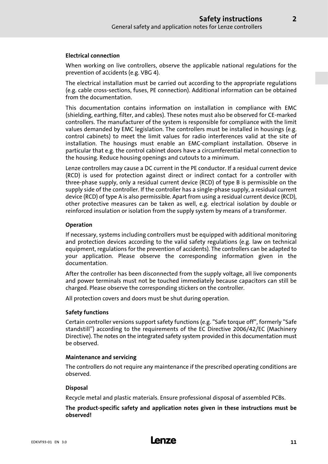#### Electrical connection

When working on live controllers, observe the applicable national regulations for the prevention of accidents (e.g. VBG 4).

The electrical installation must be carried out according to the appropriate regulations (e.g. cable cross−sections, fuses, PE connection). Additional information can be obtained from the documentation.

This documentation contains information on installation in compliance with EMC (shielding, earthing, filter, and cables). These notes must also be observed for CE−marked controllers. The manufacturer of the system is responsible for compliance with the limit values demanded by EMC legislation. The controllers must be installed in housings (e.g. control cabinets) to meet the limit values for radio interferences valid at the site of installation. The housings must enable an EMC−compliant installation. Observe in particular that e.g. the control cabinet doors have a circumferential metal connection to the housing. Reduce housing openings and cutouts to a minimum.

Lenze controllers may cause a DC current in the PE conductor. If a residual current device (RCD) is used for protection against direct or indirect contact for a controller with three−phase supply, only a residual current device (RCD) of type B is permissible on the supply side of the controller. If the controller has a single−phase supply, a residual current device (RCD) of type A is also permissible. Apart from using a residual current device (RCD), other protective measures can be taken as well, e.g. electrical isolation by double or reinforced insulation or isolation from the supply system by means of a transformer.

#### Operation

If necessary, systems including controllers must be equipped with additional monitoring and protection devices according to the valid safety regulations (e.g. law on technical equipment, regulations for the prevention of accidents). The controllers can be adapted to your application. Please observe the corresponding information given in the documentation.

After the controller has been disconnected from the supply voltage, all live components and power terminals must not be touched immediately because capacitors can still be charged. Please observe the corresponding stickers on the controller.

All protection covers and doors must be shut during operation.

### Safety functions

Certain controller versions support safety functions (e.g. "Safe torque off", formerly "Safe standstill") according to the requirements of the EC Directive 2006/42/EC (Machinery Directive). The notes on the integrated safety system provided in this documentation must be observed.

#### Maintenance and servicing

The controllers do not require any maintenance if the prescribed operating conditions are observed.

#### Disposal

Recycle metal and plastic materials. Ensure professional disposal of assembled PCBs.

The product−specific safety and application notes given in these instructions must be observed!

[2](#page-8-0)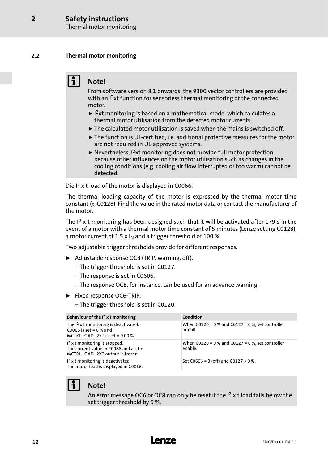Thermal motor monitoring

# <span id="page-11-0"></span>2.2 Thermal motor monitoring

#### $\boxed{\mathbf{i}}$ Note!

From software version 8.1 onwards, the 9300 vector controllers are provided with an I<sup>2</sup>xt function for sensorless thermal monitoring of the connected motor.

- $\blacktriangleright$  1<sup>2</sup>xt monitoring is based on a mathematical model which calculates a thermal motor utilisation from the detected motor currents.
- $\blacktriangleright$  The calculated motor utilisation is saved when the mains is switched off.
- ƒ The function is UL−certified, i.e. additional protective measures for the motor are not required in UL−approved systems.
- $\blacktriangleright$  Nevertheless, I<sup>2</sup>xt monitoring does not provide full motor protection because other influences on the motor utilisation such as changes in the cooling conditions (e.g. cooling air flow interrupted or too warm) cannot be detected.

Die I<sup>2</sup> x t load of the motor is displayed in C0066.

The thermal loading capacity of the motor is expressed by the thermal motor time constant (τ, C0128). Find the value in the rated motor data or contact the manufacturer of the motor.

The  $I<sup>2</sup>$  x t monitoring has been designed such that it will be activated after 179 s in the event of a motor with a thermal motor time constant of 5 minutes (Lenze setting C0128), a motor current of 1.5 x  $I_N$  and a trigger threshold of 100 %.

Two adjustable trigger thresholds provide for different responses.

- ▶ Adjustable response OC8 (TRIP, warning, off).
	- The trigger threshold is set in C0127.
	- The response is set in C0606.
	- The response OC8, for instance, can be used for an advance warning.
- ƒ Fixed response OC6−TRIP.
	- The trigger threshold is set in C0120.

| Behaviour of the $I2$ x t monitoring                                                                          | Condition                                                        |
|---------------------------------------------------------------------------------------------------------------|------------------------------------------------------------------|
| The $I^2$ x t monitoring is deactivated.<br>C0066 is set = $0%$ and<br>MCTRL-LOAD-I2XT is set = $0.00$ %.     | When $C0120 = 0$ % and $C0127 = 0$ %, set controller<br>inhibit. |
| $12$ x t monitoring is stopped.<br>The current value in C0066 and at the<br>MCTRL-LOAD-I2XT output is frozen. | When $C0120 = 0$ % and $C0127 = 0$ %, set controller<br>enable.  |
| $12$ x t monitoring is deactivated.<br>The motor load is displayed in C0066.                                  | Set C0606 = 3 (off) and C0127 $>$ 0 %.                           |



# Note!

An error message OC6 or OC8 can only be reset if the  $I<sup>2</sup>$  x t load falls below the set trigger threshold by 5 %.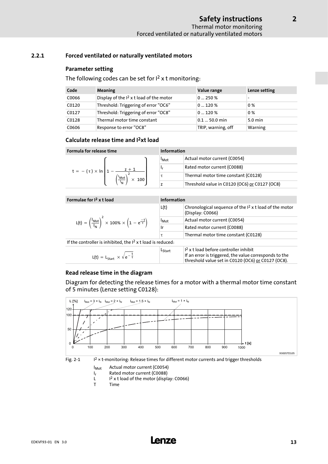#### <span id="page-12-0"></span>2.2.1 Forced ventilated or naturally ventilated motors

#### Parameter setting

The following codes can be set for  $I<sup>2</sup>$  x t monitoring:

| Code  | Meaning                                    | Value range        | Lenze setting     |
|-------|--------------------------------------------|--------------------|-------------------|
| C0066 | Display of the $I^2$ x t load of the motor | 0250%              |                   |
| C0120 | Threshold: Triggering of error "OC6"       | 0120%              | 0%                |
| C0127 | Threshold: Triggering of error "OC8"       | 0120%              | 0%                |
| C0128 | Thermal motor time constant                | $0.1 - 50.0$ min   | $5.0 \text{ min}$ |
| C0606 | Response to error "OC8"                    | TRIP, warning, off | Warning           |

## Calculate release time and I2xt load

| Formula for release time              | Information              |                                               |
|---------------------------------------|--------------------------|-----------------------------------------------|
|                                       | <b>I</b> Mot             | Actual motor current (C0054)                  |
| $z + 1$<br>$t = -(\tau) \times \ln 1$ | ۱r                       | Rated motor current (C0088)                   |
| 'Mot<br>$\times$ 100                  |                          | Thermal motor time constant (C0128)           |
| $\overline{I_{N}}$                    | $\overline{\phantom{a}}$ | Threshold value in C0120 (OC6) or C0127 (OC8) |

| Formulae for $I2$ x t load                                                                                   | <b>Information</b> |                                                                                                                                                                   |  |  |
|--------------------------------------------------------------------------------------------------------------|--------------------|-------------------------------------------------------------------------------------------------------------------------------------------------------------------|--|--|
|                                                                                                              | L(t)               | Chronological sequence of the $I2$ x t load of the motor<br>(Display: C0066)                                                                                      |  |  |
| $L(t) = \left(\frac{I_{Mot}}{I_{M}}\right)^{2} \times 100\% \times \left(1 - e^{\frac{-t}{\tau}}\right)^{2}$ | $I_{\text{Mot}}$   | Actual motor current (C0054)                                                                                                                                      |  |  |
|                                                                                                              | Ir                 | Rated motor current (C0088)                                                                                                                                       |  |  |
|                                                                                                              | τ                  | Thermal motor time constant (C0128)                                                                                                                               |  |  |
| If the controller is inhibited, the $12$ x t load is reduced:                                                |                    |                                                                                                                                                                   |  |  |
| $L(t) = L_{\text{start}} \times \sqrt{e^{-\frac{t}{\tau}}}$                                                  | Lstart             | 1 <sup>2</sup> x t load before controller inhibit<br>If an error is triggered, the value corresponds to the<br>threshold value set in C0120 (OC6) or C0127 (OC8). |  |  |

### Read release time in the diagram

Diagram for detecting the release times for a motor with a thermal motor time constant of 5 minutes (Lenze setting C0128):



 $I_{Mot}$  Actual motor current (C0054)<br> $I_r$  Rated motor current (C0088)

- $I_r$  Rated motor current (C0088)<br>L  $I^2$  x t load of the motor (displa
	- $1<sup>2</sup>$  x t load of the motor (display: C0066)
- T Time

# EDKVF93−01 EN 3.0 **Lenze**

[2](#page-8-0)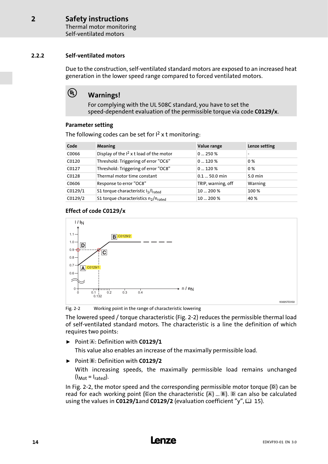Thermal motor monitoring Self−ventilated motors

# <span id="page-13-0"></span>2.2.2 Self−ventilated motors

Due to the construction, self−ventilated standard motors are exposed to an increased heat generation in the lower speed range compared to forced ventilated motors.

# (4) Warnings!

For complying with the UL 508C standard, you have to set the speed−dependent evaluation of the permissible torque via code C0129/x.

# Parameter setting

| Code    | <b>Meaning</b>                                               | Value range        | Lenze setting     |
|---------|--------------------------------------------------------------|--------------------|-------------------|
| C0066   | Display of the I <sup>2</sup> x t load of the motor          | 0250%              |                   |
| C0120   | Threshold: Triggering of error "OC6"                         | 0120%              | $0\%$             |
| C0127   | Threshold: Triggering of error "OC8"                         | 0120%              | $0\%$             |
| C0128   | Thermal motor time constant                                  | $0.150.0$ min      | $5.0 \text{ min}$ |
| C0606   | Response to error "OC8"                                      | TRIP, warning, off | Warning           |
| CO129/1 | S1 torque characteristic l1/lrated                           | 10  200 %          | 100 %             |
| CO129/2 | S1 torque characteristics n <sub>2</sub> /n <sub>rated</sub> | 10  200 %          | 40 %              |

The following codes can be set for  $I<sup>2</sup>$  x t monitoring:

### Effect of code C0129/x



Fig. 2−2 Working point in the range of characteristic lowering

The lowered speed / torque characteristic (Fig. 2−2) reduces the permissible thermal load of self−ventilated standard motors. The characteristic is a line the definition of which requires two points:

 $\triangleright$  Point A: Definition with C0129/1

This value also enables an increase of the maximally permissible load.

 $\triangleright$  Point  $\mathbb{B}$ : Definition with C0129/2

With increasing speeds, the maximally permissible load remains unchanged  $(I_{Mot} = I_{\text{rated}}).$ 

In Fig. 2-2, the motor speed and the corresponding permissible motor torque (D) can be read for each working point (Con the characteristic  $(\mathbb{A})$  ...  $\mathbb{B}$ ).  $\mathbb{D}$  can also be calculated using the values in C0129/1and C0129/2 (evaluation coefficient "y",  $\Box$  [15](#page-14-0)).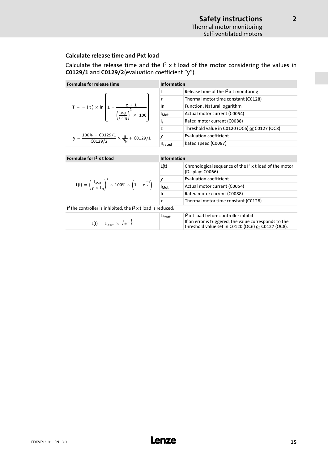[2](#page-8-0)

## <span id="page-14-0"></span>Calculate release time and I2xt load

Calculate the release time and the  $I^2$  x t load of the motor considering the values in C0129/1 and C0129/2(evaluation coefficient "y").

| Formulae for release time                                                                                                      | <b>Information</b>      |                                                                              |  |
|--------------------------------------------------------------------------------------------------------------------------------|-------------------------|------------------------------------------------------------------------------|--|
|                                                                                                                                | Τ                       | Release time of the $I2$ x t monitoring                                      |  |
|                                                                                                                                | τ                       | Thermal motor time constant (C0128)                                          |  |
| T = $- (\tau) \times \ln \left[ 1 - \frac{z + 1}{\left( \frac{I_{Mot}}{y \times I_N} \right)^2 \times 100} \right]$            | In                      | Function: Natural logarithm                                                  |  |
|                                                                                                                                | <b>I</b> <sub>Mot</sub> | Actual motor current (C0054)                                                 |  |
|                                                                                                                                | ı,                      | Rated motor current (C0088)                                                  |  |
|                                                                                                                                | z                       | Threshold value in C0120 (OC6) or C0127 (OC8)                                |  |
| y = $\frac{100\% - C0129/1}{C0129/2} \times \frac{n}{n_N} + C0129/1$                                                           | y                       | <b>Evaluation coefficient</b>                                                |  |
|                                                                                                                                | $n_{\rm{rated}}$        | Rated speed (C0087)                                                          |  |
|                                                                                                                                |                         |                                                                              |  |
|                                                                                                                                | <b>Information</b>      |                                                                              |  |
| Formulae for $I2$ x t load                                                                                                     |                         |                                                                              |  |
|                                                                                                                                | L(t)                    | Chronological sequence of the $I2$ x t load of the motor<br>(Display: C0066) |  |
|                                                                                                                                |                         | <b>Evaluation coefficient</b>                                                |  |
| L(t) = $\left(\frac{I_{\text{Mot}}}{V \times I_{\text{bl}}}\right)^2 \times 100\% \times \left(1 - e^{\frac{-t}{\tau}}\right)$ | -<br>I <sub>Mot</sub>   | Actual motor current (C0054)                                                 |  |
|                                                                                                                                | Ir                      | Rated motor current (C0088)                                                  |  |
|                                                                                                                                | τ                       | Thermal motor time constant (C0128)                                          |  |
| If the controller is inhibited, the $12$ x t load is reduced:                                                                  |                         |                                                                              |  |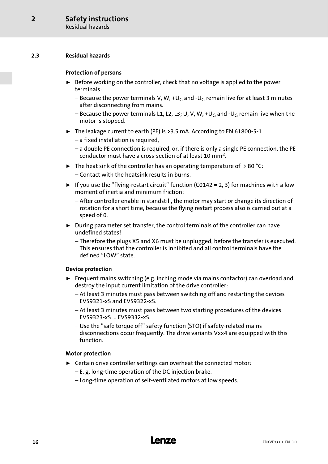#### <span id="page-15-0"></span>2.3 Residual hazards

#### Protection of persons

- $\triangleright$  Before working on the controller, check that no voltage is applied to the power terminals:
	- Because the power terminals V, W, +U<sub>G</sub> and -U<sub>G</sub> remain live for at least 3 minutes after disconnecting from mains.
	- Because the power terminals L1, L2, L3; U, V, W, +UG and −UG remain live when the motor is stopped.
- ƒ The leakage current to earth (PE) is >3.5 mA. According to EN 61800−5−1
	- a fixed installation is required,
	- a double PE connection is required, or, if there is only a single PE connection, the PE conductor must have a cross−section of at least 10 mm2.
- $\blacktriangleright$  The heat sink of the controller has an operating temperature of  $> 80$  °C: – Contact with the heatsink results in burns.
- ► If you use the "flying-restart circuit" function (C0142 = 2, 3) for machines with a low moment of inertia and minimum friction:
	- After controller enable in standstill, the motor may start or change its direction of rotation for a short time, because the flying restart process also is carried out at a speed of 0.
- $\triangleright$  During parameter set transfer, the control terminals of the controller can have undefined states!
	- Therefore the plugs X5 and X6 must be unplugged, before the transfer is executed. This ensures that the controller is inhibited and all control terminals have the defined "LOW" state.

#### Device protection

- $\blacktriangleright$  Frequent mains switching (e.g. inching mode via mains contactor) can overload and destroy the input current limitation of the drive controller:
	- At least 3 minutes must pass between switching off and restarting the devices EVS9321−xS and EVS9322−xS.
	- At least 3 minutes must pass between two starting procedures of the devices EVS9323−xS ... EVS9332−xS.
	- Use the "safe torque off" safety function (STO) if safety−related mains disconnections occur frequently. The drive variants Vxx4 are equipped with this function.

#### Motor protection

- $\blacktriangleright$  Certain drive controller settings can overheat the connected motor:
	- E. g. long−time operation of the DC injection brake.
	- Long−time operation of self−ventilated motors at low speeds.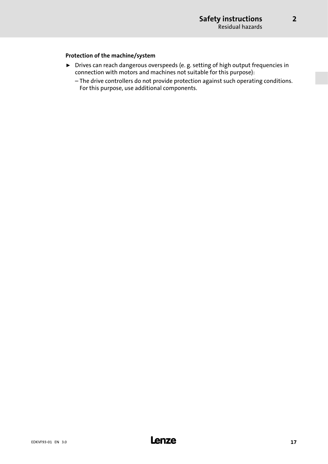[2](#page-8-0)

#### Protection of the machine/system

- ▶ Drives can reach dangerous overspeeds (e. g. setting of high output frequencies in connection with motors and machines not suitable for this purpose):
	- The drive controllers do not provide protection against such operating conditions. For this purpose, use additional components.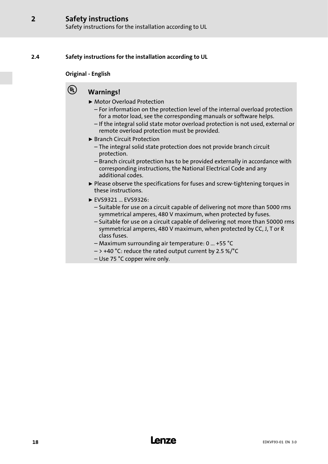# <span id="page-17-0"></span>2.4 Safety instructions for the installation according to UL

#### Original − English

# (4) Warnings!

- ▶ Motor Overload Protection
	- For information on the protection level of the internal overload protection for a motor load, see the corresponding manuals or software helps.
	- If the integral solid state motor overload protection is not used, external or remote overload protection must be provided.
- ▶ Branch Circuit Protection
	- The integral solid state protection does not provide branch circuit protection.
	- Branch circuit protection has to be provided externally in accordance with corresponding instructions, the National Electrical Code and any additional codes.
- ƒ Please observe the specifications for fuses and screw−tightening torques in these instructions.
- $\blacktriangleright$  EVS9321 ... EVS9326:
	- Suitable for use on a circuit capable of delivering not more than 5000 rms symmetrical amperes, 480 V maximum, when protected by fuses.
	- Suitable for use on a circuit capable of delivering not more than 50000 rms symmetrical amperes, 480 V maximum, when protected by CC, J, T or R class fuses.
	- Maximum surrounding air temperature: 0 ... +55 °C
	- $-$  > +40 °C: reduce the rated output current by 2.5 %/°C
	- Use 75 °C copper wire only.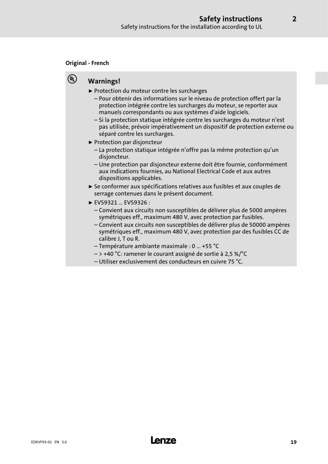#### Original − French

# (UL) Warnings!

- ▶ Protection du moteur contre les surcharges
	- Pour obtenir des informations sur le niveau de protection offert par la protection intégrée contre les surcharges du moteur, se reporter aux manuels correspondants ou aux systèmes d'aide logiciels.
	- Si la protection statique intégrée contre les surcharges du moteur n'est pas utilisée, prévoir impérativement un dispositif de protection externe ou séparé contre les surcharges.
- ▶ Protection par disjoncteur
	- La protection statique intégrée n'offre pas la même protection qu'un disjoncteur.
	- Une protection par disjoncteur externe doit être fournie, conformément aux indications fournies, au National Electrical Code et aux autres dispositions applicables.
- ► Se conformer aux spécifications relatives aux fusibles et aux couples de serrage contenues dans le présent document.
- ► EVS9321 ... EVS9326 :
	- Convient aux circuits non susceptibles de délivrer plus de 5000 ampères symétriques eff., maximum 480 V, avec protection par fusibles.
	- Convient aux circuits non susceptibles de délivrer plus de 50000 ampères symétriques eff., maximum 480 V, avec protection par des fusibles CC de calibre J, T ou R.
	- Température ambiante maximale : 0 ... +55 °C
	- > +40 °C: ramener le courant assigné de sortie à 2,5 %/°C
	- Utiliser exclusivement des conducteurs en cuivre 75 °C.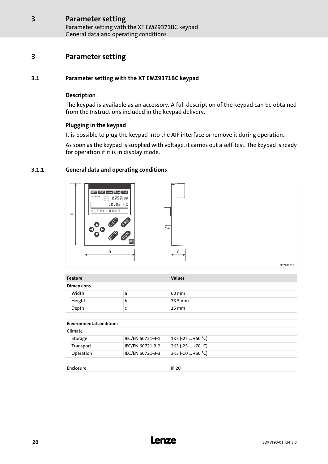Parameter setting with the XT EMZ9371BC keypad General data and operating conditions

# <span id="page-19-0"></span>3 Parameter setting

# 3.1 Parameter setting with the XT EMZ9371BC keypad

#### Description

The keypad is available as an accessory. A full description of the keypad can be obtained from the Instructions included in the keypad delivery.

### Plugging in the keypad

It is possible to plug the keypad into the AIF interface or remove it during operation.

As soon as the keypad is supplied with voltage, it carries out a self−test. The keypad is ready for operation if it is in display mode.

#### 3.1.1 General data and operating conditions



| Feature                         |                  | <b>Values</b>       |  |
|---------------------------------|------------------|---------------------|--|
| <b>Dimensions</b>               |                  |                     |  |
| Width                           | a                | 60 mm               |  |
| Height                          | b                | 73.5 mm             |  |
| Depth                           | c                | $15 \, \text{mm}$   |  |
| <b>Environmental conditions</b> |                  |                     |  |
|                                 |                  |                     |  |
| Climate<br>Storage              | IEC/EN 60721-3-1 | $1K3$ (-25  +60 °C) |  |
| Transport                       | IEC/EN 60721-3-2 | 2K3 (-25  +70 °C)   |  |

Enclosure IP 20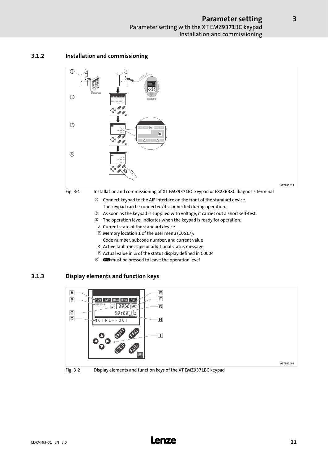#### <span id="page-20-0"></span>3.1.2 Installation and commissioning

![](_page_20_Figure_2.jpeg)

- Current state of the standard device
- Memory location 1 of the user menu (C0517): Code number, subcode number, and current value
- Active fault message or additional status message
- Actual value in % of the status display defined in C0004
- <sup>4</sup> **EXP** must be pressed to leave the operation level

#### 3.1.3 Display elements and function keys

![](_page_20_Figure_9.jpeg)

![](_page_20_Figure_10.jpeg)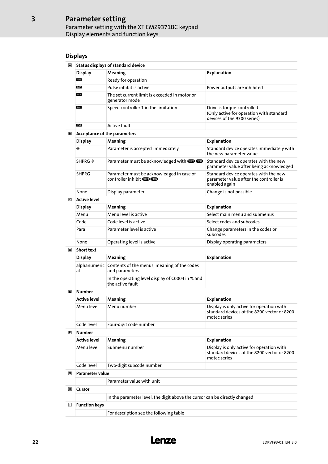# Parameter setting Parameter setting with the XT EMZ9371BC keypad Display elements and function keys

#### Displays

| <b>Status displays of standard device</b> |                                                                 |                                                                                                       |  |  |
|-------------------------------------------|-----------------------------------------------------------------|-------------------------------------------------------------------------------------------------------|--|--|
| <b>Display</b>                            | Meaning                                                         | <b>Explanation</b>                                                                                    |  |  |
| <b>RDY</b>                                | Ready for operation                                             |                                                                                                       |  |  |
| <b>IMP</b>                                | Pulse inhibit is active                                         | Power outputs are inhibited                                                                           |  |  |
| Imax                                      | The set current limit is exceeded in motor or<br>generator mode |                                                                                                       |  |  |
| Mmax                                      | Speed controller 1 in the limitation                            | Drive is torque-controlled<br>(Only active for operation with standard<br>devices of the 9300 series) |  |  |
| Fail                                      | Active fault                                                    |                                                                                                       |  |  |

#### Acceptance of the parameters

| ALLEPLATIC OF LITE PATAILICLETS |                                                                                |                                                                                                   |  |  |
|---------------------------------|--------------------------------------------------------------------------------|---------------------------------------------------------------------------------------------------|--|--|
| <b>Display</b>                  | Meaning                                                                        | Explanation                                                                                       |  |  |
| ◈                               | Parameter is accepted immediately                                              | Standard device operates immediately with<br>the new parameter value                              |  |  |
| $SHPRG \rightarrow$             | Parameter must be acknowledged with <b>SHD CHD</b>                             | Standard device operates with the new<br>parameter value after being acknowledged                 |  |  |
| <b>SHPRG</b>                    | Parameter must be acknowledged in case of<br>controller inhibit <b>SID CRO</b> | Standard device operates with the new<br>parameter value after the controller is<br>enabled again |  |  |
| None                            | Display parameter                                                              | Change is not possible                                                                            |  |  |
|                                 |                                                                                |                                                                                                   |  |  |

#### $\overline{\mathbf{c}}$

| Active level   |                           |                                               |  |  |  |
|----------------|---------------------------|-----------------------------------------------|--|--|--|
| <b>Display</b> | Meaning                   | Explanation                                   |  |  |  |
| Menu           | Menu level is active      | Select main menu and submenus                 |  |  |  |
| Code           | Code level is active      | Select codes and subcodes                     |  |  |  |
| Para           | Parameter level is active | Change parameters in the codes or<br>subcodes |  |  |  |
| None           | Operating level is active | Display operating parameters                  |  |  |  |

#### D Short text

| <b>SHOLL LEXL</b> |                                                                            |                    |  |
|-------------------|----------------------------------------------------------------------------|--------------------|--|
| <b>Display</b>    | <b>Meaning</b>                                                             | <b>Explanation</b> |  |
| al                | alphanumeric Contents of the menus, meaning of the codes<br>and parameters |                    |  |
|                   | In the operating level display of C0004 in % and<br>the active fault       |                    |  |

#### Number

| <b>Active level</b> | Meaning                | <b>Explanation</b>                                                                                       |
|---------------------|------------------------|----------------------------------------------------------------------------------------------------------|
| Menu level          | Menu number            | Display is only active for operation with<br>standard devices of the 8200 vector or 8200<br>motec series |
| Code level          | Four-digit code number |                                                                                                          |
| .                   |                        |                                                                                                          |

#### Number

|                         | <b>Active level</b> | <b>Meaning</b>            | Explanation                                                                                              |  |
|-------------------------|---------------------|---------------------------|----------------------------------------------------------------------------------------------------------|--|
|                         | Menu level          | Submenu number            | Display is only active for operation with<br>standard devices of the 8200 vector or 8200<br>motec series |  |
|                         | Code level          | Two-digit subcode number  |                                                                                                          |  |
| G                       | Parameter value     |                           |                                                                                                          |  |
|                         |                     | Parameter value with unit |                                                                                                          |  |
| $\overline{\mathbf{H}}$ | Cursor              |                           |                                                                                                          |  |

### In the parameter level, the digit above the cursor can be directly changed

# Function keys

For description see the following table

![](_page_21_Picture_16.jpeg)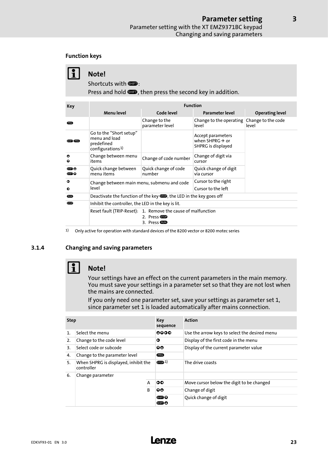#### <span id="page-22-0"></span>Function keys

|              | Note!<br>Shortcuts with <b>CID</b> :<br>Press and hold <b>SID</b> , then press the second key in addition. |                                  |                                                                               |                             |  |
|--------------|------------------------------------------------------------------------------------------------------------|----------------------------------|-------------------------------------------------------------------------------|-----------------------------|--|
|              |                                                                                                            |                                  |                                                                               |                             |  |
| Key          |                                                                                                            |                                  | <b>Function</b>                                                               |                             |  |
|              | Menu level                                                                                                 | Code level                       | Parameter level                                                               | <b>Operating level</b>      |  |
| (RG)         |                                                                                                            | Change to the<br>parameter level | Change to the operating<br>level                                              | Change to the code<br>level |  |
| SHIFT) (PRG) | Go to the "Short setup"<br>menu and load<br>predefined<br>configurations <sup>1</sup>                      |                                  | Accept parameters<br>when SHPRG $\rightarrow \infty$ or<br>SHPRG is displayed |                             |  |

|                        | picacilica<br>configurations <sup>1)</sup>                                  |                                                                                               | SHPRG is displayed            |  |  |  |  |
|------------------------|-----------------------------------------------------------------------------|-----------------------------------------------------------------------------------------------|-------------------------------|--|--|--|--|
| $\bullet$<br>$\bullet$ | Change between menu<br>items                                                | Change of code number                                                                         | Change of digit via<br>cursor |  |  |  |  |
| ▥◑<br>▥◑               | Quick change between<br>menu items                                          | Quick change of code<br>number                                                                |                               |  |  |  |  |
| $\bullet$<br>$\bullet$ | Change between main menu, submenu and code<br>level                         | Cursor to the right<br>Cursor to the left                                                     |                               |  |  |  |  |
| <b>RUN</b>             | Deactivate the function of the key <b>SOD</b> , the LED in the key goes off |                                                                                               |                               |  |  |  |  |
| <b>STOP</b>            | Inhibit the controller, the LED in the key is lit.                          |                                                                                               |                               |  |  |  |  |
|                        |                                                                             | Reset fault (TRIP-Reset): 1. Remove the cause of malfunction<br>2. Press STOP<br>3. Press COD |                               |  |  |  |  |

1) Only active for operation with standard devices of the 8200 vector or 8200 motec series

### 3.1.4 Changing and saving parameters

![](_page_22_Picture_6.jpeg)

# Note! Your settings have an effect on the current parameters in the main memory.

You must save your settings in a parameter set so that they are not lost when the mains are connected.

If you only need one parameter set, save your settings as parameter set 1, since parameter set 1 is loaded automatically after mains connection.

| <b>Step</b>    |                                                    | Key<br>sequence | <b>Action</b>         |                                               |
|----------------|----------------------------------------------------|-----------------|-----------------------|-----------------------------------------------|
| $\mathbf{1}$ . | Select the menu                                    |                 | 0000                  | Use the arrow keys to select the desired menu |
| 2.             | Change to the code level                           |                 | Ο                     | Display of the first code in the menu         |
| 3.             | Select code or subcode                             |                 | 90                    | Display of the current parameter value        |
| 4.             | Change to the parameter level                      |                 | <b>PRG</b>            |                                               |
| 5.             | When SHPRG is displayed, inhibit the<br>controller |                 | $S$ TOP $1)$          | The drive coasts                              |
| 6.             | Change parameter                                   |                 |                       |                                               |
|                |                                                    | A               | 00                    | Move cursor below the digit to be changed     |
|                |                                                    | <sub>R</sub>    | 00                    | Change of digit                               |
|                |                                                    | 6⊞D 0<br>G⊞D O  | Quick change of digit |                                               |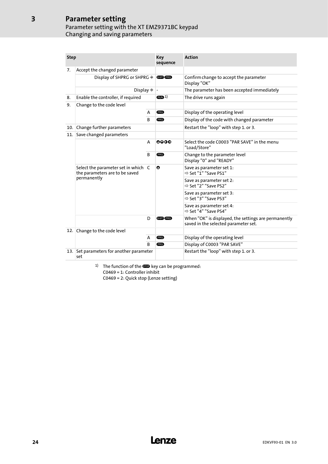# Parameter setting Parameter setting with the XT EMZ9371BC keypad Changing and saving parameters

| <b>Step</b> |                                                                                      |   | Key<br>sequence   | <b>Action</b>                                                                                |
|-------------|--------------------------------------------------------------------------------------|---|-------------------|----------------------------------------------------------------------------------------------|
| 7.          | Accept the changed parameter                                                         |   |                   |                                                                                              |
|             | Display of SHPRG or SHPRG $\rightarrow$                                              |   | <b>SHIED PRG</b>  | Confirm change to accept the parameter<br>Display "OK"                                       |
|             | Display $\Rightarrow$                                                                |   |                   | The parameter has been accepted immediately                                                  |
| 8.          | Enable the controller, if required                                                   |   | (m <sub>1</sub> ) | The drive runs again                                                                         |
| 9.          | Change to the code level                                                             |   |                   |                                                                                              |
|             |                                                                                      | А | <b>PRG</b>        | Display of the operating level                                                               |
|             |                                                                                      |   | <b>PRG</b>        | Display of the code with changed parameter                                                   |
| 10.1        | Change further parameters                                                            |   |                   | Restart the "loop" with step 1. or 3.                                                        |
| 11.         | Save changed parameters                                                              |   |                   |                                                                                              |
|             |                                                                                      | A | 0000              | Select the code C0003 "PAR SAVE" in the menu<br>"Load/Store"                                 |
|             | B                                                                                    |   | <b>PRG</b>        | Change to the parameter level<br>Display "0" and "READY"                                     |
|             | Select the parameter set in which C<br>the parameters are to be saved<br>permanently |   | O                 | Save as parameter set 1:<br>⇒ Set "1" "Save PS1"                                             |
|             |                                                                                      |   |                   | Save as parameter set 2:<br>⇒ Set "2" "Save PS2"                                             |
|             |                                                                                      |   |                   | Save as parameter set 3:<br>⇒ Set "3" "Save PS3"                                             |
|             |                                                                                      |   |                   | Save as parameter set 4:<br>⇒ Set "4" "Save PS4"                                             |
|             | D                                                                                    |   | SHIFT PRG         | When "OK" is displayed, the settings are permanently<br>saved in the selected parameter set. |
| 12.         | Change to the code level                                                             |   |                   |                                                                                              |
|             |                                                                                      | A | <b>PRG</b>        | Display of the operating level                                                               |
|             |                                                                                      | B | <b>PRG</b>        | Display of C0003 "PAR SAVE"                                                                  |
| 13.1        | Set parameters for another parameter<br>set                                          |   |                   | Restart the "loop" with step 1. or 3.                                                        |

1) The function of the  $\blacksquare$  key can be programmed: C0469 = 1: Controller inhibit C0469 = 2: Quick stop (Lenze setting)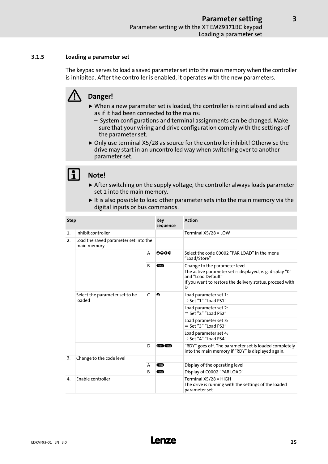#### <span id="page-24-0"></span>3.1.5 Loading a parameter set

The keypad serves to load a saved parameter set into the main memory when the controller is inhibited. After the controller is enabled, it operates with the new parameters.

# Danger!

- $\triangleright$  When a new parameter set is loaded, the controller is reinitialised and acts as if it had been connected to the mains:
	- System configurations and terminal assignments can be changed. Make sure that your wiring and drive configuration comply with the settings of the parameter set.
- ▶ Only use terminal X5/28 as source for the controller inhibit! Otherwise the drive may start in an uncontrolled way when switching over to another parameter set.

# Note!

 $\boxed{\mathbf{i}}$ 

- $\triangleright$  After switching on the supply voltage, the controller always loads parameter set 1 into the main memory.
- $\blacktriangleright$  It is also possible to load other parameter sets into the main memory via the digital inputs or bus commands.

| <b>Step</b>                                                |                                          | Key<br>sequence | <b>Action</b>    |                                                                                                                                                                                  |
|------------------------------------------------------------|------------------------------------------|-----------------|------------------|----------------------------------------------------------------------------------------------------------------------------------------------------------------------------------|
| 1.                                                         | Inhibit controller                       |                 |                  | Terminal $X5/28 = LOW$                                                                                                                                                           |
| Load the saved parameter set into the<br>2.<br>main memory |                                          |                 |                  |                                                                                                                                                                                  |
|                                                            |                                          | A               | 0000             | Select the code C0002 "PAR LOAD" in the menu<br>"Load/Store"                                                                                                                     |
|                                                            | <sub>B</sub>                             |                 | PRG              | Change to the parameter level<br>The active parameter set is displayed, e. g. display "0"<br>and "Load Default"<br>If you want to restore the delivery status, proceed with<br>D |
|                                                            | Select the parameter set to be<br>loaded |                 | O                | Load parameter set 1:<br>$\Rightarrow$ Set "1" "Load PS1"                                                                                                                        |
|                                                            |                                          |                 |                  | Load parameter set 2:<br>⇒ Set "2" "Load PS2"                                                                                                                                    |
|                                                            |                                          |                 |                  | Load parameter set 3:<br>$\Rightarrow$ Set "3" "Load PS3"                                                                                                                        |
|                                                            |                                          |                 |                  | Load parameter set 4:<br>$\Rightarrow$ Set "4" "Load PS4"                                                                                                                        |
|                                                            |                                          | D               | <b>SHIFT</b> PRG | "RDY" goes off. The parameter set is loaded completely<br>into the main memory if "RDY" is displayed again.                                                                      |
| 3.                                                         | Change to the code level<br>A<br>B       |                 |                  |                                                                                                                                                                                  |
|                                                            |                                          |                 | PRG              | Display of the operating level                                                                                                                                                   |
|                                                            |                                          |                 | (PRG)            | Display of C0002 "PAR LOAD"                                                                                                                                                      |
| $\mathbf{4}$                                               | <b>Fnable controller</b>                 |                 |                  | Terminal X5/28 = HIGH                                                                                                                                                            |
|                                                            |                                          |                 |                  | The drive is running with the settings of the loaded<br>parameter set                                                                                                            |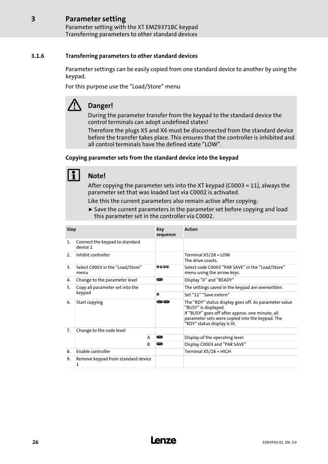#### <span id="page-25-0"></span>Parameter setting [3](#page-19-0)

Parameter setting with the XT EMZ9371BC keypad Transferring parameters to other standard devices

# 3.1.6 Transferring parameters to other standard devices

Parameter settings can be easily copied from one standard device to another by using the keypad.

For this purpose use the "Load/Store" menu

# Danger!

During the parameter transfer from the keypad to the standard device the control terminals can adopt undefined states!

Therefore the plugs X5 and X6 must be disconnected from the standard device before the transfer takes place. This ensures that the controller is inhibited and all control terminals have the defined state "LOW".

### Copying parameter sets from the standard device into the keypad

#### $\boxed{\mathbf{i}}$ Note!

After copying the parameter sets into the XT keypad (C0003 = 11), always the parameter set that was loaded last via C0002 is activated.

Like this the current parameters also remain active after copying:

 $\triangleright$  Save the current parameters in the parameter set before copying and load this parameter set in the controller via C0002.

| <b>Step</b>    |                                            |   | Key<br>sequence | <b>Action</b>                                                                                                                                                                                                        |  |
|----------------|--------------------------------------------|---|-----------------|----------------------------------------------------------------------------------------------------------------------------------------------------------------------------------------------------------------------|--|
| $\mathbf{1}$ . | Connect the keypad to standard<br>device 1 |   |                 |                                                                                                                                                                                                                      |  |
| 2.             | Inhibit controller                         |   |                 | Terminal $X5/28 = LOW$<br>The drive coasts.                                                                                                                                                                          |  |
| 3.             | Select C0003 in the "Load/Store"<br>menu   |   | 0000            | Select code C0003 "PAR SAVE" in the "Load/Store"<br>menu using the arrow keys.                                                                                                                                       |  |
| 4.             | Change to the parameter level              |   | <b>ERG</b>      | Display "0" and "READY"                                                                                                                                                                                              |  |
| 5.             | Copy all parameter set into the            |   |                 | The settings saved in the keypad are overwritten.                                                                                                                                                                    |  |
|                | keypad                                     |   | $\bullet$       | Set "11" "Save extern"                                                                                                                                                                                               |  |
| 6.             | Start copying                              |   | GHED (PRG)      | The "RDY" status display goes off. As parameter value<br>"BUSY" is displayed.<br>If "BUSY" goes off after approx. one minute, all<br>parameter sets were copied into the keypad. The<br>"RDY" status display is lit. |  |
| 7.             | Change to the code level                   |   |                 |                                                                                                                                                                                                                      |  |
|                |                                            | A | (PRG)           | Display of the operating level                                                                                                                                                                                       |  |
|                |                                            |   | <b>ERG</b>      | Display C0003 and "PAR SAVE"                                                                                                                                                                                         |  |
| 8.             | Enable controller                          |   |                 | Terminal $X5/28 = HIGH$                                                                                                                                                                                              |  |
| 9.             | Remove keypad from standard device<br>1    |   |                 |                                                                                                                                                                                                                      |  |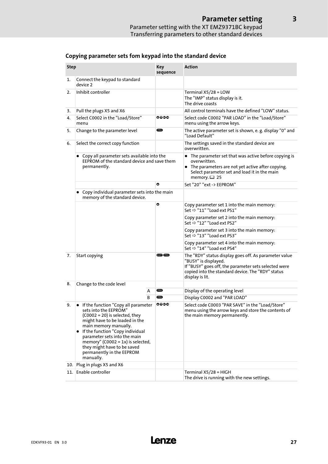| <b>Step</b> |                                                                                                                                                                                                                                                                                                                                                      | <b>Key</b><br>sequence | <b>Action</b>                                                                                                                                                                                                 |
|-------------|------------------------------------------------------------------------------------------------------------------------------------------------------------------------------------------------------------------------------------------------------------------------------------------------------------------------------------------------------|------------------------|---------------------------------------------------------------------------------------------------------------------------------------------------------------------------------------------------------------|
| 1.          | Connect the keypad to standard<br>device 2                                                                                                                                                                                                                                                                                                           |                        |                                                                                                                                                                                                               |
| 2.          | Inhibit controller                                                                                                                                                                                                                                                                                                                                   |                        | Terminal $X5/28 = LOW$<br>The "IMP" status display is it.<br>The drive coasts                                                                                                                                 |
| 3.          | Pull the plugs X5 and X6                                                                                                                                                                                                                                                                                                                             |                        | All control terminals have the defined "LOW" status.                                                                                                                                                          |
| 4.          | Select C0002 in the "Load/Store"<br>menu                                                                                                                                                                                                                                                                                                             | 0000                   | Select code C0002 "PAR LOAD" in the "Load/Store"<br>menu using the arrow keys.                                                                                                                                |
| 5.          | Change to the parameter level                                                                                                                                                                                                                                                                                                                        | <b>PRG</b>             | The active parameter set is shown, e. g. display "0" and<br>"Load Default"                                                                                                                                    |
| 6.          | Select the correct copy function                                                                                                                                                                                                                                                                                                                     |                        | The settings saved in the standard device are<br>overwritten.                                                                                                                                                 |
|             | Copy all parameter sets available into the<br>EEPROM of the standard device and save them<br>permanently.                                                                                                                                                                                                                                            |                        | • The parameter set that was active before copying is<br>overwritten.<br>• The parameters are not yet active after copying.<br>Select parameter set and load it in the main<br>memory. $\boxplus$ 25          |
|             |                                                                                                                                                                                                                                                                                                                                                      | O                      | Set "20" "ext -> EEPROM"                                                                                                                                                                                      |
|             | • Copy individual parameter sets into the main<br>memory of the standard device.                                                                                                                                                                                                                                                                     |                        |                                                                                                                                                                                                               |
|             |                                                                                                                                                                                                                                                                                                                                                      | O                      | Copy parameter set 1 into the main memory:<br>Set $\Rightarrow$ "11" "Load ext PS1"                                                                                                                           |
|             |                                                                                                                                                                                                                                                                                                                                                      |                        | Copy parameter set 2 into the main memory:<br>Set $\Rightarrow$ "12" "Load ext PS2"                                                                                                                           |
|             |                                                                                                                                                                                                                                                                                                                                                      |                        | Copy parameter set 3 into the main memory:<br>Set $\Rightarrow$ "13" "Load ext PS3"                                                                                                                           |
|             |                                                                                                                                                                                                                                                                                                                                                      |                        | Copy parameter set 4 into the main memory:<br>Set $\Rightarrow$ "14" "Load ext PS4"                                                                                                                           |
| 7.          | Start copying                                                                                                                                                                                                                                                                                                                                        | <b>SHED (PRG)</b>      | The "RDY" status display goes off. As parameter value<br>"BUSY" is displayed.<br>If "BUSY" goes off, the parameter sets selected were<br>copied into the standard device. The "RDY" status<br>display is lit. |
| 8.          | Change to the code level                                                                                                                                                                                                                                                                                                                             |                        |                                                                                                                                                                                                               |
|             | А                                                                                                                                                                                                                                                                                                                                                    | <b>PRG</b>             | Display of the operating level                                                                                                                                                                                |
|             | B                                                                                                                                                                                                                                                                                                                                                    | <b>ERG</b>             | Display C0002 and "PAR LOAD"                                                                                                                                                                                  |
| 9.          | • If the function "Copy all parameter<br>sets into the EEPROM"<br>$(C0002 = 20)$ is selected, they<br>might have to be loaded in the<br>main memory manually.<br>• If the function "Copy individual<br>parameter sets into the main<br>memory" (C0002 = $1x$ ) is selected,<br>they might have to be saved<br>permanently in the EEPROM<br>manually. | 0000                   | Select code C0003 "PAR SAVE" in the "Load/Store"<br>menu using the arrow keys and store the contents of<br>the main memory permanently.                                                                       |
| 10.         | Plug in plugs X5 and X6                                                                                                                                                                                                                                                                                                                              |                        |                                                                                                                                                                                                               |
| 11.         | Enable controller                                                                                                                                                                                                                                                                                                                                    |                        | Terminal X5/28 = HIGH<br>The drive is running with the new settings.                                                                                                                                          |

# Copying parameter sets fom keypad into the standard device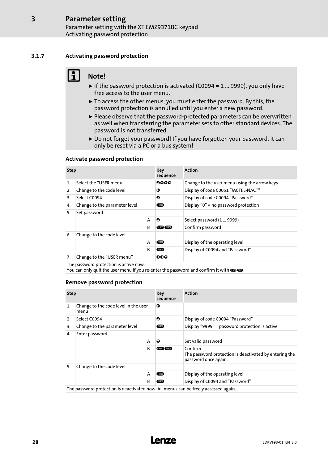# 3.1.7 Activating password protection

<span id="page-27-0"></span>[3](#page-19-0)

#### $\boxed{\mathbf{i}}$ Note!

- $\blacktriangleright$  If the password protection is activated (C0094 = 1 ... 9999), you only have free access to the user menu.
- $\triangleright$  To access the other menus, you must enter the password. By this, the password protection is annulled until you enter a new password.
- ► Please observe that the password-protected parameters can be overwritten as well when transferring the parameter sets to other standard devices. The password is not transferred.
- ▶ Do not forget your password! If you have forgotten your password, it can only be reset via a PC or a bus system!

#### Activate password protection

| <b>Step</b>    |                               |              | Key<br>sequence | <b>Action</b>                                |
|----------------|-------------------------------|--------------|-----------------|----------------------------------------------|
| $\mathbf{1}$ . | Select the "USER menu"        |              | 0000            | Change to the user menu using the arrow keys |
| 2.             | Change to the code level      |              | ο               | Display of code C0051 "MCTRL-NACT"           |
| 3.             | Select C0094                  |              | O               | Display of code C0094 "Password"             |
| 4.             | Change to the parameter level |              | <b>ERG</b>      | Display "0" = no password protection         |
| 5.             | Set password                  |              |                 |                                              |
|                |                               | A            | $\bullet$       | Select password (1  9999)                    |
|                |                               | <sub>R</sub> | SHIFT (PRG)     | Confirm password                             |
| 6.             | Change to the code level      |              |                 |                                              |
|                |                               | A            | <b>PRG</b>      | Display of the operating level               |
|                |                               | B            | <b>PRG</b>      | Display of C0094 and "Password"              |
| 7.             | Change to the "USER menu"     |              | ೦೦೦             |                                              |

The password protection is active now.

You can only quit the user menu if you re-enter the password and confirm it with . **. .** 

#### Remove password protection

| <b>Step</b> |                                                                                     |              | Key<br>sequence | <b>Action</b>                                                                             |
|-------------|-------------------------------------------------------------------------------------|--------------|-----------------|-------------------------------------------------------------------------------------------|
| 1.          | Change to the code level in the user<br>menu                                        |              | O               |                                                                                           |
| 2.          | Select C0094                                                                        |              | $\bullet$       | Display of code C0094 "Password"                                                          |
| 3.          | Change to the parameter level                                                       |              | <b>PRG</b>      | Display "9999" = password protection is active                                            |
| 4.          | Enter password                                                                      |              |                 |                                                                                           |
|             |                                                                                     | A            | Q               | Set valid password                                                                        |
|             |                                                                                     | <sub>B</sub> | SHIFT PRG       | Confirm<br>The password protection is deactivated by entering the<br>password once again. |
| 5.          | Change to the code level                                                            |              |                 |                                                                                           |
|             |                                                                                     | A            | <b>PRG</b>      | Display of the operating level                                                            |
|             |                                                                                     | B            | <b>PRG</b>      | Display of C0094 and "Password"                                                           |
|             | The password protection is deactivated now. All menus can be freely accessed again. |              |                 |                                                                                           |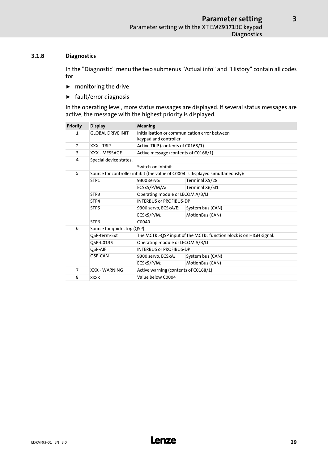#### <span id="page-28-0"></span>3.1.8 Diagnostics

In the "Diagnostic" menu the two submenus "Actual info" and "History" contain all codes for

- $\blacktriangleright$  monitoring the drive
- $\blacktriangleright$  fault/error diagnosis

In the operating level, more status messages are displayed. If several status messages are active, the message with the highest priority is displayed.

| <b>Priority</b> | <b>Display</b>               | Meaning                                                                |                                                                                 |  |  |  |  |  |
|-----------------|------------------------------|------------------------------------------------------------------------|---------------------------------------------------------------------------------|--|--|--|--|--|
| 1               | <b>GLOBAL DRIVE INIT</b>     | Initialisation or communication error between<br>keypad and controller |                                                                                 |  |  |  |  |  |
| $\overline{2}$  | XXX - TRIP                   | Active TRIP (contents of C0168/1)                                      |                                                                                 |  |  |  |  |  |
| 3               | XXX - MESSAGE                | Active message (contents of C0168/1)                                   |                                                                                 |  |  |  |  |  |
| 4               | Special device states:       |                                                                        |                                                                                 |  |  |  |  |  |
|                 |                              | Switch-on inhibit                                                      |                                                                                 |  |  |  |  |  |
| 5               |                              |                                                                        | Source for controller inhibit (the value of C0004 is displayed simultaneously): |  |  |  |  |  |
|                 | STP1                         | 9300 servo:                                                            | Terminal X5/28                                                                  |  |  |  |  |  |
|                 |                              | ECSxS/P/M/A:                                                           | Terminal X6/SI1                                                                 |  |  |  |  |  |
|                 | STP3                         | Operating module or LECOM A/B/LI                                       |                                                                                 |  |  |  |  |  |
|                 | STP4                         | <b>INTERBUS or PROFIBUS-DP</b>                                         |                                                                                 |  |  |  |  |  |
|                 | STP <sub>5</sub>             | 9300 servo, ECSxA/E:                                                   | System bus (CAN)                                                                |  |  |  |  |  |
|                 |                              | ECSxS/P/M:                                                             | MotionBus (CAN)                                                                 |  |  |  |  |  |
|                 | STP <sub>6</sub>             | C0040                                                                  |                                                                                 |  |  |  |  |  |
| 6               | Source for quick stop (QSP): |                                                                        |                                                                                 |  |  |  |  |  |
|                 | QSP-term-Ext                 | The MCTRL-QSP input of the MCTRL function block is on HIGH signal.     |                                                                                 |  |  |  |  |  |
|                 | OSP-C0135                    | Operating module or LECOM A/B/LI                                       |                                                                                 |  |  |  |  |  |
|                 | OSP-AIF                      | <b>INTERBUS or PROFIBUS-DP</b>                                         |                                                                                 |  |  |  |  |  |
|                 | QSP-CAN                      | 9300 servo, ECSxA:                                                     | System bus (CAN)                                                                |  |  |  |  |  |
|                 |                              | ECSxS/P/M:                                                             | MotionBus (CAN)                                                                 |  |  |  |  |  |
| $\overline{7}$  | <b>XXX - WARNING</b>         | Active warning (contents of C0168/1)                                   |                                                                                 |  |  |  |  |  |
| 8               | <b>XXXX</b>                  | Value below C0004                                                      |                                                                                 |  |  |  |  |  |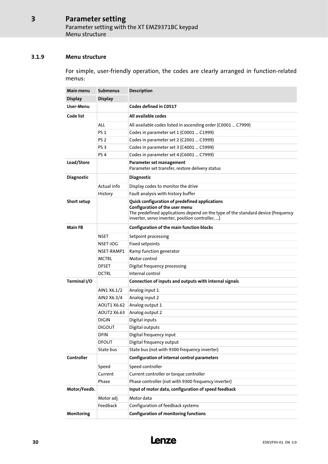### <span id="page-29-0"></span>3.1.9 Menu structure

For simple, user−friendly operation, the codes are clearly arranged in function−related menus:

| Main menu         | <b>Submenus</b> | <b>Description</b>                                                                                                                                                                                                       |  |  |  |  |
|-------------------|-----------------|--------------------------------------------------------------------------------------------------------------------------------------------------------------------------------------------------------------------------|--|--|--|--|
| <b>Display</b>    | <b>Display</b>  |                                                                                                                                                                                                                          |  |  |  |  |
| User-Menu         |                 | Codes defined in C0517                                                                                                                                                                                                   |  |  |  |  |
| Code list         |                 | All available codes                                                                                                                                                                                                      |  |  |  |  |
|                   | ALL             | All available codes listed in ascending order (C0001  C7999)                                                                                                                                                             |  |  |  |  |
|                   | <b>PS 1</b>     | Codes in parameter set 1 (C0001  C1999)                                                                                                                                                                                  |  |  |  |  |
|                   | PS <sub>2</sub> | Codes in parameter set 2 (C2001  C3999)                                                                                                                                                                                  |  |  |  |  |
|                   | PS <sub>3</sub> | Codes in parameter set 3 (C4001  C5999)                                                                                                                                                                                  |  |  |  |  |
|                   | PS <sub>4</sub> | Codes in parameter set 4 (C6001  C7999)                                                                                                                                                                                  |  |  |  |  |
| Load/Store        |                 | Parameter set management<br>Parameter set transfer, restore delivery status                                                                                                                                              |  |  |  |  |
| <b>Diagnostic</b> |                 | <b>Diagnostic</b>                                                                                                                                                                                                        |  |  |  |  |
|                   | Actual info     | Display codes to monitor the drive                                                                                                                                                                                       |  |  |  |  |
|                   | History         | Fault analysis with history buffer                                                                                                                                                                                       |  |  |  |  |
| Short setup       |                 | Quick configuration of predefined applications<br>Configuration of the user menu<br>The predefined applications depend on the type of the standard device (frequency<br>inverter, servo inverter, position controller, ) |  |  |  |  |
| <b>Main FB</b>    |                 | Configuration of the main function blocks                                                                                                                                                                                |  |  |  |  |
|                   | NSET            | Setpoint processing                                                                                                                                                                                                      |  |  |  |  |
|                   | NSET-JOG        | Fixed setpoints                                                                                                                                                                                                          |  |  |  |  |
|                   | NSET-RAMP1      | Ramp function generator                                                                                                                                                                                                  |  |  |  |  |
|                   | <b>MCTRL</b>    | Motor control                                                                                                                                                                                                            |  |  |  |  |
|                   | <b>DFSET</b>    | Digital frequency processing                                                                                                                                                                                             |  |  |  |  |
|                   | <b>DCTRL</b>    | Internal control                                                                                                                                                                                                         |  |  |  |  |
| Terminal I/O      |                 | Connection of inputs and outputs with internal signals                                                                                                                                                                   |  |  |  |  |
|                   | AIN1 X6.1/2     | Analog input 1                                                                                                                                                                                                           |  |  |  |  |
|                   | AIN2 X6.3/4     | Analog input 2                                                                                                                                                                                                           |  |  |  |  |
|                   | AOUT1 X6.62     | Analog output 1                                                                                                                                                                                                          |  |  |  |  |
|                   | AOUT2 X6.63     | Analog output 2                                                                                                                                                                                                          |  |  |  |  |
|                   | <b>DIGIN</b>    | Digital inputs                                                                                                                                                                                                           |  |  |  |  |
|                   | <b>DIGOUT</b>   | Digital outputs                                                                                                                                                                                                          |  |  |  |  |
|                   | <b>DFIN</b>     | Digital frequency input                                                                                                                                                                                                  |  |  |  |  |
|                   | <b>DFOUT</b>    | Digital frequency output                                                                                                                                                                                                 |  |  |  |  |
|                   | State bus       | State bus (not with 9300 frequency inverter)                                                                                                                                                                             |  |  |  |  |
| Controller        |                 | Configuration of internal control parameters                                                                                                                                                                             |  |  |  |  |
|                   | Speed           | Speed controller                                                                                                                                                                                                         |  |  |  |  |
|                   | Current         | Current controller or torque controller                                                                                                                                                                                  |  |  |  |  |
|                   | Phase           | Phase controller (not with 9300 frequency inverter)                                                                                                                                                                      |  |  |  |  |
| Motor/Feedb.      |                 | Input of motor data, configuration of speed feedback                                                                                                                                                                     |  |  |  |  |
|                   | Motor adj       | Motor data                                                                                                                                                                                                               |  |  |  |  |
|                   | Feedback        | Configuration of feedback systems                                                                                                                                                                                        |  |  |  |  |
| Monitoring        |                 | <b>Configuration of monitoring functions</b>                                                                                                                                                                             |  |  |  |  |

![](_page_29_Picture_4.jpeg)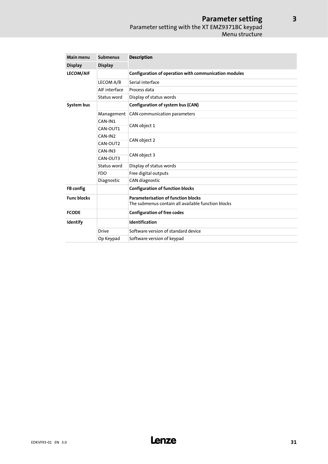# Parameter setting Parameter setting with the XT EMZ9371BC keypad Menu structure

| Main menu<br><b>Submenus</b> |                | <b>Description</b>                                                                               |  |  |  |
|------------------------------|----------------|--------------------------------------------------------------------------------------------------|--|--|--|
| <b>Display</b>               | <b>Display</b> |                                                                                                  |  |  |  |
| <b>LECOM/AIF</b>             |                | Configuration of operation with communication modules                                            |  |  |  |
|                              | LECOM A/B      | Serial interface                                                                                 |  |  |  |
|                              | AIF interface  | Process data                                                                                     |  |  |  |
|                              | Status word    | Display of status words                                                                          |  |  |  |
| System bus                   |                | Configuration of system bus (CAN)                                                                |  |  |  |
|                              | Management     | CAN communication parameters                                                                     |  |  |  |
|                              | CAN-IN1        |                                                                                                  |  |  |  |
|                              | CAN-OUT1       | CAN object 1                                                                                     |  |  |  |
|                              | CAN-IN2        |                                                                                                  |  |  |  |
|                              | CAN-OUT2       | CAN object 2                                                                                     |  |  |  |
|                              | CAN-IN3        |                                                                                                  |  |  |  |
|                              | CAN-OUT3       | CAN object 3                                                                                     |  |  |  |
|                              | Status word    | Display of status words                                                                          |  |  |  |
|                              | <b>FDO</b>     | Free digital outputs                                                                             |  |  |  |
|                              | Diagnostic     | CAN diagnostic                                                                                   |  |  |  |
| <b>FB</b> config             |                | <b>Configuration of function blocks</b>                                                          |  |  |  |
| <b>Func blocks</b>           |                | <b>Parameterisation of function blocks</b><br>The submenus contain all available function blocks |  |  |  |
| <b>FCODE</b>                 |                | <b>Configuration of free codes</b>                                                               |  |  |  |
| Identify                     |                | Identification                                                                                   |  |  |  |
|                              | <b>Drive</b>   | Software version of standard device                                                              |  |  |  |
|                              | Op Keypad      | Software version of keypad                                                                       |  |  |  |

EDKVF93−01 EN 3.0 **Lenze** 

[3](#page-19-0)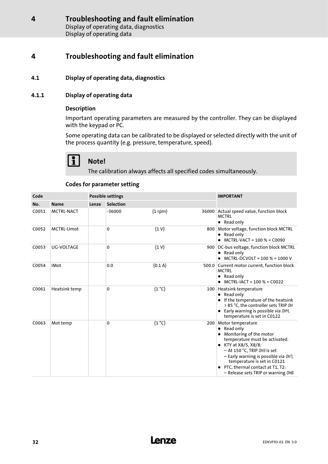# <span id="page-31-0"></span>4.1 Display of operating data, diagnostics

# 4.1.1 Display of operating data

#### Description

Important operating parameters are measured by the controller. They can be displayed with the keypad or PC.

Some operating data can be calibrated to be displayed or selected directly with the unit of the process quantity (e.g. pressure, temperature, speed).

## $\boxed{\mathbf{i}}$ Note!

The calibration always affects all specified codes simultaneously.

#### Codes for parameter setting

| Code  |                   |       | <b>Possible settings</b> |                | <b>IMPORTANT</b> |                                                                                                                                                                                                                                                                                                                        |
|-------|-------------------|-------|--------------------------|----------------|------------------|------------------------------------------------------------------------------------------------------------------------------------------------------------------------------------------------------------------------------------------------------------------------------------------------------------------------|
| No.   | <b>Name</b>       | Lenze | <b>Selection</b>         |                |                  |                                                                                                                                                                                                                                                                                                                        |
| C0051 | <b>MCTRL-NACT</b> |       | -36000                   | ${1$ rpm $}$   |                  | 36000 Actual speed value, function block<br><b>MCTRL</b><br>• Read only                                                                                                                                                                                                                                                |
| C0052 | <b>MCTRL-Umot</b> |       | 0                        | $\{1 V\}$      |                  | 800 Motor voltage, function block MCTRL<br>• Read only<br>• MCTRL-VACT = $100\%$ = C0090                                                                                                                                                                                                                               |
| C0053 | <b>UG-VOLTAGE</b> |       | 0                        | $\{1 V\}$      |                  | 900 DC-bus voltage, function block MCTRL<br>Read only<br>MCTRL-DCVOLT = 100 % = 1000 V                                                                                                                                                                                                                                 |
| C0054 | <b>IMot</b>       |       | 0.0                      | ${0.1 A}$      |                  | 500.0 Current motor current, function block<br><b>MCTRL</b><br>Read only<br>٠<br>$MCTRL-IACT = 100 % = CO022$                                                                                                                                                                                                          |
| C0061 | Heatsink temp     |       | 0                        | ${1^{\circ}C}$ |                  | 100 Heatsink temperature<br>• Read only<br>If the temperature of the heatsink<br>> 85 °C, the controller sets TRIP OH<br>Early warning is possible via DH4,<br>temperature is set in C0122                                                                                                                             |
| C0063 | Mot temp          |       | 0                        | $\{1 °C\}$     |                  | 200 Motor temperature<br>Read only<br>٠<br>Monitoring of the motor<br>temperature must be activated.<br>KTY at X8/5, X8/8:<br>٠<br>- At 150 °C, TRIP DH3 is set<br>- Early warning is possible via DH7,<br>temperature is set in C0121<br>PTC, thermal contact at T1, T2:<br>- Release sets TRIP or warning <i>0H8</i> |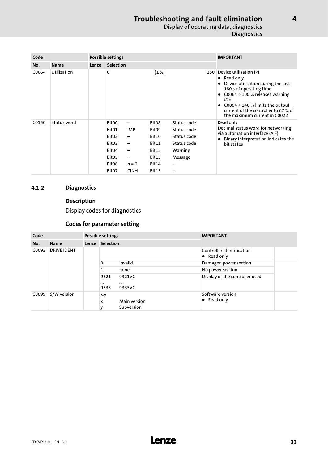# Troubleshooting and fault elimination Display of operating data, diagnostics **Diagnostics**

<span id="page-32-0"></span>

| Code  |             | Possible settings |                                                                                                                                                          |                                                          |                                                                                                     |                                                                                     |     | <b>IMPORTANT</b>                                                                                                                                                                                                                                                       |
|-------|-------------|-------------------|----------------------------------------------------------------------------------------------------------------------------------------------------------|----------------------------------------------------------|-----------------------------------------------------------------------------------------------------|-------------------------------------------------------------------------------------|-----|------------------------------------------------------------------------------------------------------------------------------------------------------------------------------------------------------------------------------------------------------------------------|
| No.   | <b>Name</b> | Lenze             | <b>Selection</b>                                                                                                                                         |                                                          |                                                                                                     |                                                                                     |     |                                                                                                                                                                                                                                                                        |
| C0064 | Utilization |                   | 0                                                                                                                                                        |                                                          | ${1\%}$                                                                                             |                                                                                     | 150 | Device utilisation l×t<br>$\bullet$ Read only<br>Device utilisation during the last<br>180 s of operating time<br>$C0064 > 100$ % releases warning<br>OC5<br>$C0064 > 140$ % limits the output<br>current of the controller to 67 % of<br>the maximum current in C0022 |
| C0150 | Status word |                   | Bit00<br>Bit <sub>01</sub><br>Bit <sub>02</sub><br>Bit <sub>03</sub><br>Bit <sub>04</sub><br>Bit <sub>05</sub><br>Bit <sub>06</sub><br>Bit <sub>07</sub> | —<br><b>IMP</b><br>-<br>-<br>-<br>$n = 0$<br><b>CINH</b> | Bit <sub>08</sub><br>Bit <sub>09</sub><br>Bit10<br>Bit11<br>Bit12<br>Bit13<br>Bit14<br><b>Bit15</b> | Status code<br>Status code<br>Status code<br>Status code<br>Warning<br>Message<br>- |     | Read only<br>Decimal status word for networking<br>via automation interface (AIF)<br>Binary interpretation indicates the<br>bit states                                                                                                                                 |

# 4.1.2 Diagnostics

# Description

Display codes for diagnostics

# Codes for parameter setting

| Code  |                    | Possible settings  |                 |                              | <b>IMPORTANT</b>                                 |  |
|-------|--------------------|--------------------|-----------------|------------------------------|--------------------------------------------------|--|
| No.   | <b>Name</b>        |                    | Lenze Selection |                              |                                                  |  |
| C0093 | <b>DRIVE IDENT</b> |                    |                 |                              | Controller identification<br>$\bullet$ Read only |  |
|       |                    | 0<br>1<br>$\cdots$ |                 | invalid                      | Damaged power section                            |  |
|       |                    |                    |                 | none                         | No power section                                 |  |
|       |                    |                    | 9321<br>9333    | 9321VC<br>$\cdots$<br>9333VC | Display of the controller used                   |  |
| C0099 | S/W version        |                    | x.y<br>x<br>v   | Main version<br>Subversion   | Software version<br>$\bullet$ Read only          |  |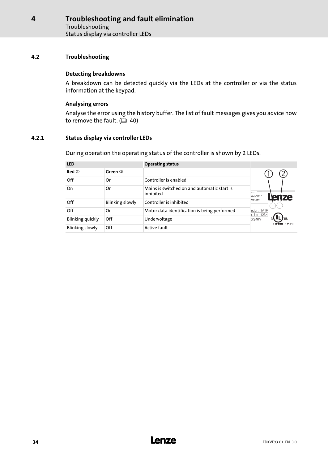### <span id="page-33-0"></span>4.2 Troubleshooting

#### Detecting breakdowns

A breakdown can be detected quickly via the LEDs at the controller or via the status information at the keypad.

#### Analysing errors

Analyse the error using the history buffer. The list of fault messages gives you advice how to remove the fault.  $( 40 40)$  $( 40 40)$ 

### 4.2.1 Status display via controller LEDs

During operation the operating status of the controller is shown by 2 LEDs.

| <b>LED</b>             |                 | <b>Operating status</b>                                  |                            |
|------------------------|-----------------|----------------------------------------------------------|----------------------------|
| $Red$ $0$              | Green 2         |                                                          |                            |
| Off                    | On              | Controller is enabled                                    |                            |
| On                     | On              | Mains is switched on and automatic start is<br>inhibited | 1ze-Str. 1<br><b>Jenze</b> |
| Off                    | Blinking slowly | Controller is inhibited                                  | Aerzen                     |
| Off                    | On              | Motor data identification is being performed             | rsion: 1A1H<br>r.-No: 1234 |
| Blinking quickly       | Off             | Undervoltage                                             | 0/240V                     |
| <b>Blinking slowly</b> | Off             | <b>Active fault</b>                                      |                            |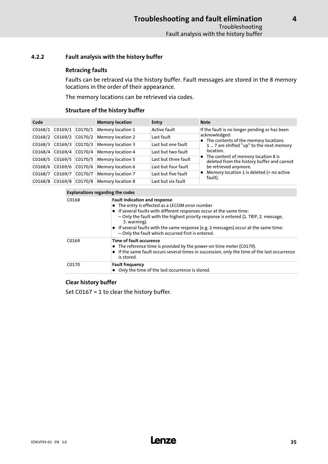# <span id="page-34-0"></span>4.2.2 Fault analysis with the history buffer

#### Retracing faults

Faults can be retraced via the history buffer. Fault messages are stored in the 8 memory locations in the order of their appearance.

The memory locations can be retrieved via codes.

#### Structure of the history buffer

| Code    |                     | <b>Memory location</b> | <b>Entry</b>                      | <b>Note</b>          |                                                                                     |
|---------|---------------------|------------------------|-----------------------------------|----------------------|-------------------------------------------------------------------------------------|
| CO168/1 | $CO169/1$ $CO170/1$ |                        | <b>Memory location 1</b>          | Active fault         | If the fault is no longer pending or has been                                       |
| CO168/2 |                     |                        | C0169/2 C0170/2 Memory location 2 | Last fault           | acknowledged:<br>• The contents of the memory locations                             |
| CO168/3 |                     |                        | C0169/3 C0170/3 Memory location 3 | Last but one fault   | 1  7 are shifted "up" to the next memory                                            |
| C0168/4 |                     |                        | C0169/4 C0170/4 Memory location 4 | Last but two fault   | location.                                                                           |
| CO168/5 |                     |                        | C0169/5 C0170/5 Memory location 5 | Last but three fault | • The content of memory location 8 is<br>deleted from the history buffer and cannot |
| CO168/6 |                     |                        | C0169/6 C0170/6 Memory location 6 | Last but four fault  | be retrieved anymore.                                                               |
| C0168/7 | CO169/7             |                        | C0170/7 Memory location 7         | Last but five fault  | • Memory location 1 is deleted $(=$ no active<br>fault).                            |
| CO168/8 |                     |                        | C0169/8 C0170/8 Memory location 8 | Last but six fault   |                                                                                     |

| Explanations regarding the codes |  |  |
|----------------------------------|--|--|
|                                  |  |  |

| C0168 | <b>Fault indication and response</b><br>• The entry is effected as a LECOM error number<br>• If several faults with different responses occur at the same time:<br>- Only the fault with the highest priority response is entered (1. TRIP, 2. message,<br>3. warning).<br>• If several faults with the same response (e.g. 2 messages) occur at the same time:<br>- Only the fault which occurred first is entered. |
|-------|----------------------------------------------------------------------------------------------------------------------------------------------------------------------------------------------------------------------------------------------------------------------------------------------------------------------------------------------------------------------------------------------------------------------|
| C0169 | Time of fault occurence<br>• The reference time is provided by the power-on time meter (C0179).<br>• If the same fault occurs several times in succession, only the time of the last occurrence<br>is stored.                                                                                                                                                                                                        |
| C0170 | <b>Fault frequency</b><br>• Only the time of the last occurrence is stored.                                                                                                                                                                                                                                                                                                                                          |

### Clear history buffer

Set C0167 = 1 to clear the history buffer.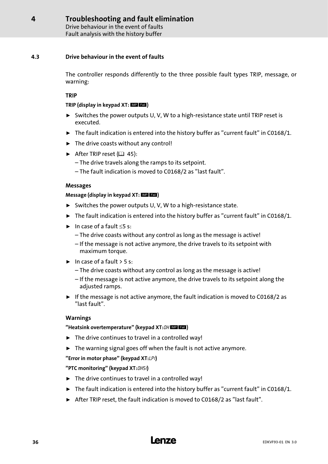Drive behaviour in the event of faults Fault analysis with the history buffer

# <span id="page-35-0"></span>4.3 Drive behaviour in the event of faults

The controller responds differently to the three possible fault types TRIP, message, or warning:

#### TRIP

#### TRIP (display in keypad  $XT:$   $MP$   $EBI$ )

- ƒ Switches the power outputs U, V, W to a high−resistance state until TRIP reset is executed.
- $\triangleright$  The fault indication is entered into the history buffer as "current fault" in C0168/1.
- $\blacktriangleright$  The drive coasts without any control!
- After TRIP reset  $(43, 45)$  $(43, 45)$  $(43, 45)$ :
	- The drive travels along the ramps to its setpoint.
	- The fault indication is moved to C0168/2 as "last fault".

#### Messages

### Message (display in keypad  $XT:$   $MP$   $Fall$ )

- ► Switches the power outputs U, V, W to a high-resistance state.
- $\blacktriangleright$  The fault indication is entered into the history buffer as "current fault" in C0168/1.
- $\blacktriangleright$  In case of a fault  $\leq$ 5 s:
	- The drive coasts without any control as long as the message is active!
	- If the message is not active anymore, the drive travels to its setpoint with maximum torque.
- $\blacktriangleright$  In case of a fault  $>$  5 s:
	- The drive coasts without any control as long as the message is active!
	- If the message is not active anymore, the drive travels to its setpoint along the adjusted ramps.
- $\triangleright$  If the message is not active anymore, the fault indication is moved to C0168/2 as "last fault".

### Warnings

## "Heatsink overtemperature" (keypad XT: OH MP Lall)

- $\blacktriangleright$  The drive continues to travel in a controlled way!
- $\blacktriangleright$  The warning signal goes off when the fault is not active anymore.

### "Error in motor phase" (keypad XT:LP1)

### "PTC monitoring" (keypad XT: OH51)

- $\blacktriangleright$  The drive continues to travel in a controlled way!
- $\triangleright$  The fault indication is entered into the history buffer as "current fault" in C0168/1.
- ▶ After TRIP reset, the fault indication is moved to C0168/2 as "last fault".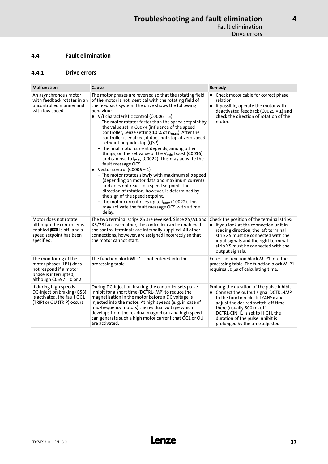# <span id="page-36-0"></span>4.4 Fault elimination

#### 4.4.1 Drive errors

| <b>Malfunction</b>                                                                                                               | Cause                                                                                                                                                                                                                                                                                                                                                                                                                                                                                                                                                                                                                                                                                                                                                                                                                                                                                                                                                                                                                                                                                                                         | Remedy                                                                                                                                                                                                                                                                                                |
|----------------------------------------------------------------------------------------------------------------------------------|-------------------------------------------------------------------------------------------------------------------------------------------------------------------------------------------------------------------------------------------------------------------------------------------------------------------------------------------------------------------------------------------------------------------------------------------------------------------------------------------------------------------------------------------------------------------------------------------------------------------------------------------------------------------------------------------------------------------------------------------------------------------------------------------------------------------------------------------------------------------------------------------------------------------------------------------------------------------------------------------------------------------------------------------------------------------------------------------------------------------------------|-------------------------------------------------------------------------------------------------------------------------------------------------------------------------------------------------------------------------------------------------------------------------------------------------------|
| An asynchronous motor<br>with feedback rotates in an<br>uncontrolled manner and<br>with low speed                                | The motor phases are reversed so that the rotating field<br>of the motor is not identical with the rotating field of<br>the feedback system. The drive shows the following<br>behaviour:<br>• V/f characteristic control (C0006 = 5)<br>- The motor rotates faster than the speed setpoint by<br>the value set in C0074 (influence of the speed<br>controller, Lenze setting 10 % of $n_{max}$ ). After the<br>controller is enabled, it does not stop at zero speed<br>setpoint or quick stop (QSP).<br>- The final motor current depends, among other<br>things, on the set value of the $V_{\text{min}}$ boost (C0016)<br>and can rise to $I_{\text{max}}$ (C0022). This may activate the<br>fault message OC5.<br>• Vector control (C0006 = 1)<br>- The motor rotates slowly with maximum slip speed<br>(depending on motor data and maximum current)<br>and does not react to a speed setpoint. The<br>direction of rotation, however, is determined by<br>the sign of the speed setpoint.<br>- The motor current rises up to $I_{\text{max}}$ (C0022). This<br>may activate the fault message OC5 with a time<br>delay. | • Check motor cable for correct phase<br>relation.<br>• If possible, operate the motor with<br>deactivated feedback (C0025 = 1) and<br>check the direction of rotation of the<br>motor.                                                                                                               |
| Motor does not rotate<br>although the controller is<br>enabled (IIII is off) and a<br>speed setpoint has been<br>specified.      | The two terminal strips X5 are reversed. Since X5/A1 and<br>X5/28 face each other, the controller can be enabled if<br>the control terminals are internally supplied. All other<br>connections, however, are assigned incorrectly so that<br>the motor cannot start.                                                                                                                                                                                                                                                                                                                                                                                                                                                                                                                                                                                                                                                                                                                                                                                                                                                          | Check the position of the terminal strips:<br>• If you look at the connection unit in<br>reading direction, the left terminal<br>strip X5 must be connected with the<br>input signals and the right terminal<br>strip X5 must be connected with the<br>output signals.                                |
| The monitoring of the<br>motor phases (LP1) does<br>not respond if a motor<br>phase is interrupted,<br>although $C0597 = 0$ or 2 | The function block MLP1 is not entered into the<br>processing table.                                                                                                                                                                                                                                                                                                                                                                                                                                                                                                                                                                                                                                                                                                                                                                                                                                                                                                                                                                                                                                                          | Enter the function block MLP1 into the<br>processing table. The function block MLP1<br>requires $30 \mu s$ of calculating time.                                                                                                                                                                       |
| If during high speeds<br>DC-injection braking (GSB)<br>is activated, the fault OC1<br>(TRIP) or OU (TRIP) occurs                 | During DC-injection braking the controller sets pulse<br>inhibit for a short time (DCTRL-IMP) to reduce the<br>magnetisation in the motor before a DC voltage is<br>injected into the motor. At high speeds (e.g. in case of<br>mid-frequency motors) the residual voltage which<br>develops from the residual magnetism and high speed<br>can generate such a high motor current that OC1 or OU<br>are activated.                                                                                                                                                                                                                                                                                                                                                                                                                                                                                                                                                                                                                                                                                                            | Prolong the duration of the pulse inhibit:<br>• Connect the output signal DCTRL-IMP<br>to the function block TRANSx and<br>adjust the desired switch-off time<br>there (usually 500 ms). If<br>DCTRL-CINH1 is set to HIGH, the<br>duration of the pulse inhibit is<br>prolonged by the time adjusted. |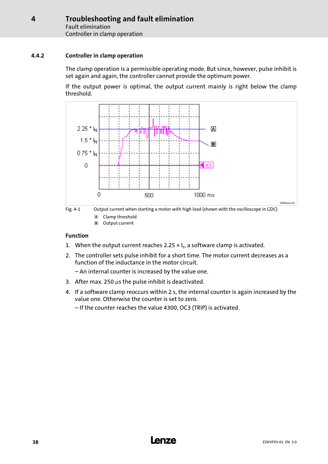# <span id="page-37-0"></span>4.4.2 Controller in clamp operation

The clamp operation is a permissible operating mode. But since, however, pulse inhibit is set again and again, the controller cannot provide the optimum power.

If the output power is optimal, the output current mainly is right below the clamp threshold.

![](_page_37_Figure_4.jpeg)

![](_page_37_Figure_5.jpeg)

Output current

#### Function

- 1. When the output current reaches 2.25  $\times$  I<sub>r</sub>, a software clamp is activated.
- 2. The controller sets pulse inhibit for a short time. The motor current decreases as a function of the inductance in the motor circuit.
	- An internal counter is increased by the value one.
- 3. After max. 250  $\mu$ s the pulse inhibit is deactivated.
- 4. If a software clamp reoccurs within 2 s, the internal counter is again increased by the value one. Otherwise the counter is set to zero.
	- If the counter reaches the value 4300, OC3 (TRIP) is activated.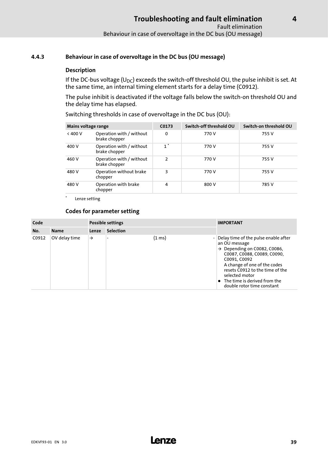# <span id="page-38-0"></span>4.4.3 Behaviour in case of overvoltage in the DC bus (OU message)

#### Description

If the DC-bus voltage (U<sub>DC</sub>) exceeds the switch-off threshold OU, the pulse inhibit is set. At the same time, an internal timing element starts for a delay time (C0912).

The pulse inhibit is deactivated if the voltage falls below the switch−on threshold OU and the delay time has elapsed.

Switching thresholds in case of overvoltage in the DC bus (OU):

| Mains voltage range |                                           | C0173         | Switch-off threshold OU | Switch-on threshold OU |
|---------------------|-------------------------------------------|---------------|-------------------------|------------------------|
| < 400 V             | Operation with / without<br>brake chopper | 0             | 770 V                   | 755 V                  |
| 400 V               | Operation with / without<br>brake chopper | $1^*$         | 770 V                   | 755 V                  |
| 460 V               | Operation with / without<br>brake chopper | $\mathcal{P}$ | 770 V                   | 755 V                  |
| 480 V               | Operation without brake<br>chopper        | 3             | 770 V                   | 755 V                  |
| 480 V               | Operation with brake<br>chopper           | 4             | 800 V                   | 785 V                  |

Lenze setting

### Codes for parameter setting

| Code  |               | Possible settings |                  |                     | <b>IMPORTANT</b>                                                                                                                                                                                                                                                                                              |
|-------|---------------|-------------------|------------------|---------------------|---------------------------------------------------------------------------------------------------------------------------------------------------------------------------------------------------------------------------------------------------------------------------------------------------------------|
| No.   | <b>Name</b>   | Lenze             | <b>Selection</b> |                     |                                                                                                                                                                                                                                                                                                               |
| C0912 | OV delay time | $\rightarrow$     |                  | $\{1 \text{ ms}\}\$ | Delay time of the pulse enable after<br>an OU message<br>$\rightarrow$ Depending on C0082, C0086,<br>C0087, C0088, C0089, C0090,<br>C0091, C0092<br>A change of one of the codes<br>resets C0912 to the time of the<br>selected motor<br>$\bullet$ The time is derived from the<br>double rotor time constant |

[4](#page-31-0)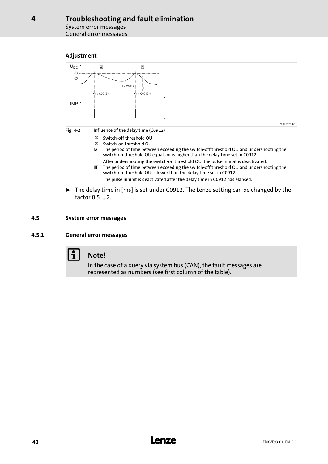System error messages General error messages

### Adjustment

<span id="page-39-0"></span>[4](#page-31-0)

![](_page_39_Figure_3.jpeg)

- The period of time between exceeding the switch−off threshold OU and undershooting the switch−on threshold OU equals or is higher than the delay time set in C0912.
- After undershooting the switch−on threshold OU, the pulse inhibit is deactivated. The period of time between exceeding the switch−off threshold OU and undershooting the switch−on threshold OU is lower than the delay time set in C0912. The pulse inhibit is deactivated after the delay time in C0912 has elapsed.
- ► The delay time in [ms] is set under C0912. The Lenze setting can be changed by the factor 0.5 ... 2.

#### 4.5 System error messages

#### 4.5.1 General error messages

![](_page_39_Picture_9.jpeg)

# Note!

In the case of a query via system bus (CAN), the fault messages are represented as numbers (see first column of the table).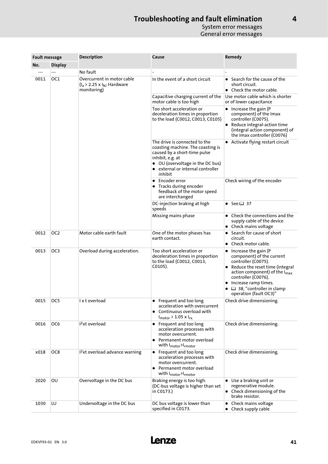| <b>Fault message</b> |                 | <b>Description</b>                                                              | Cause                                                                                                                                                                                                      | Remedy                                                                                                                                                                                                                                                                                       |  |
|----------------------|-----------------|---------------------------------------------------------------------------------|------------------------------------------------------------------------------------------------------------------------------------------------------------------------------------------------------------|----------------------------------------------------------------------------------------------------------------------------------------------------------------------------------------------------------------------------------------------------------------------------------------------|--|
| No.                  | <b>Display</b>  |                                                                                 |                                                                                                                                                                                                            |                                                                                                                                                                                                                                                                                              |  |
|                      |                 | No fault                                                                        |                                                                                                                                                                                                            |                                                                                                                                                                                                                                                                                              |  |
| 0011                 | OC1             | Overcurrent in motor cable<br>$(I_a > 2.25 \times I_N;$ Hardware<br>monitoring) | In the event of a short circuit                                                                                                                                                                            | Search for the cause of the<br>$\bullet$<br>short circuit.<br>• Check the motor cable.                                                                                                                                                                                                       |  |
|                      |                 |                                                                                 | Capacitive charging current of the<br>motor cable is too high                                                                                                                                              | Use motor cable which is shorter<br>or of lower capacitance                                                                                                                                                                                                                                  |  |
|                      |                 |                                                                                 | Too short acceleration or<br>deceleration times in proportion<br>to the load (C0012, C0013, C0105)                                                                                                         | • Increase the gain (P<br>component) of the Imax<br>controller (C0075).<br>Reduce integral-action time<br>(integral action component) of<br>the Imax controller (C0076)                                                                                                                      |  |
|                      |                 |                                                                                 | The drive is connected to the<br>coasting machine. The coasting is<br>caused by a short-time pulse<br>inhibit, e.g. at<br>• OU (overvoltage in the DC bus)<br>• external or internal controller<br>inhibit | • Activate flying restart circuit                                                                                                                                                                                                                                                            |  |
|                      |                 |                                                                                 | • Encoder error<br>• Tracks during encoder<br>feedback of the motor speed<br>are interchanged                                                                                                              | Check wiring of the encoder                                                                                                                                                                                                                                                                  |  |
|                      |                 |                                                                                 | DC-injection braking at high<br>speeds                                                                                                                                                                     | • See $\Box$ 37                                                                                                                                                                                                                                                                              |  |
|                      |                 |                                                                                 | Missing mains phase                                                                                                                                                                                        | Check the connections and the<br>supply cable of the device<br>• Check mains voltage                                                                                                                                                                                                         |  |
| 0012                 | OC <sub>2</sub> | Motor cable earth fault                                                         | One of the motor phases has<br>earth contact.                                                                                                                                                              | • Search for cause of short<br>circuit.<br>Check motor cable.<br>$\bullet$                                                                                                                                                                                                                   |  |
| 0013                 | OC <sub>3</sub> | Overload during acceleration.                                                   | Too short acceleration or<br>deceleration times in proportion<br>to the load (C0012, C0013,<br>$CO105$ ).                                                                                                  | Increase the gain (P<br>$\bullet$<br>component) of the current<br>controller (C0075).<br>Reduce the reset time (integral<br>$\bullet$<br>action component) of the $I_{\text{max}}$<br>controller (C0076).<br>Increase ramp times.<br>٠<br>38, "controller in clamp<br>operation (fault OC3)" |  |
| 0015                 | OC5             | l x t overload                                                                  | • Frequent and too long<br>acceleration with overcurrent<br>• Continuous overload with<br>$I_{\text{motor}}$ > 1.05 x $I_{\text{rx}}$                                                                      | Check drive dimensioning.                                                                                                                                                                                                                                                                    |  |
| 0016                 | OC6             | 1 <sup>2</sup> xt overload                                                      | • Frequent and too long<br>acceleration processes with<br>motor overcurrent.<br>Permanent motor overload<br>with I <sub>motor</sub> >I <sub>rmotor</sub>                                                   | Check drive dimensioning.                                                                                                                                                                                                                                                                    |  |
| x018                 | OC8             | $12xt overload advance warning$                                                 | • Frequent and too long<br>acceleration processes with<br>motor overcurrent.<br>• Permanent motor overload<br>with I <sub>motor</sub> >I <sub>rmotor</sub>                                                 | Check drive dimensioning.                                                                                                                                                                                                                                                                    |  |
| 2020                 | OU              | Overvoltage in the DC bus                                                       | Braking energy is too high.<br>(DC-bus voltage is higher than set<br>in C0173.)                                                                                                                            | • Use a braking unit or<br>regenerative module.<br>• Check dimensioning of the<br>brake resistor.                                                                                                                                                                                            |  |
| 1030                 | LU              | Undervoltage in the DC bus                                                      | DC bus voltage is lower than<br>specified in C0173.                                                                                                                                                        | Check mains voltage<br>$\bullet$<br>• Check supply cable                                                                                                                                                                                                                                     |  |

![](_page_40_Picture_5.jpeg)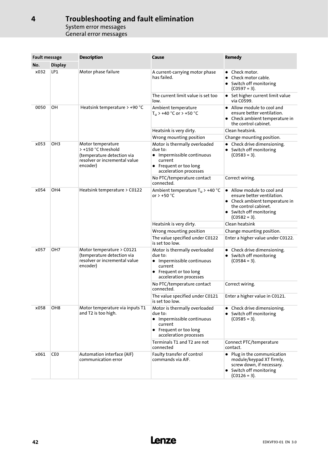| <b>Fault message</b>    |                 | <b>Description</b>                                                                                                  | Cause                                                                                                                                 | <b>Remedy</b>                                                                                                                                                   |  |
|-------------------------|-----------------|---------------------------------------------------------------------------------------------------------------------|---------------------------------------------------------------------------------------------------------------------------------------|-----------------------------------------------------------------------------------------------------------------------------------------------------------------|--|
| No.                     | <b>Display</b>  |                                                                                                                     |                                                                                                                                       |                                                                                                                                                                 |  |
| x032                    | LP1             | Motor phase failure                                                                                                 | A current-carrying motor phase<br>has failed.                                                                                         | Check motor.<br>$\bullet$<br>Check motor cable.<br>• Switch off monitoring<br>$(C0597 = 3).$                                                                    |  |
|                         |                 |                                                                                                                     | The current limit value is set too<br>low.                                                                                            | • Set higher current limit value<br>via C0599.                                                                                                                  |  |
| 0050                    | OH              | Heatsink temperature > +90 °C                                                                                       | Ambient temperature<br>$T_u$ > +40 °C or > +50 °C                                                                                     | • Allow module to cool and<br>ensure better ventilation.<br>• Check ambient temperature in<br>the control cabinet.                                              |  |
|                         |                 |                                                                                                                     | Heatsink is very dirty.                                                                                                               | Clean heatsink.                                                                                                                                                 |  |
|                         |                 |                                                                                                                     | Wrong mounting position                                                                                                               | Change mounting position.                                                                                                                                       |  |
| x053                    | OH <sub>3</sub> | Motor temperature<br>> +150 °C threshold<br>(temperature detection via<br>resolver or incremental value<br>encoder) | Motor is thermally overloaded<br>due to:<br>• Impermissible continuous<br>current<br>• Frequent or too long<br>acceleration processes | • Check drive dimensioning.<br>• Switch off monitoring<br>$(C0583 = 3).$                                                                                        |  |
|                         |                 |                                                                                                                     | No PTC/temperature contact<br>connected.                                                                                              | Correct wiring.                                                                                                                                                 |  |
| x054<br>OH <sub>4</sub> |                 | Heatsink temperature > C0122                                                                                        | Ambient temperature $T_u$ > +40 °C<br>or $> +50$ °C                                                                                   | • Allow module to cool and<br>ensure better ventilation.<br>• Check ambient temperature in<br>the control cabinet.<br>• Switch off monitoring<br>$(C0582 = 3).$ |  |
|                         |                 |                                                                                                                     | Heatsink is very dirty.                                                                                                               | Clean heatsink                                                                                                                                                  |  |
|                         |                 |                                                                                                                     | Wrong mounting position                                                                                                               | Change mounting position.                                                                                                                                       |  |
|                         |                 |                                                                                                                     | The value specified under C0122<br>is set too low.                                                                                    | Enter a higher value under C0122.                                                                                                                               |  |
| x057<br>OH <sub>7</sub> |                 | Motor temperature > C0121<br>(temperature detection via<br>resolver or incremental value<br>encoder)                | Motor is thermally overloaded<br>due to:<br>• Impermissible continuous<br>current<br>• Frequent or too long<br>acceleration processes | • Check drive dimensioning.<br>• Switch off monitoring<br>$(C0584 = 3).$                                                                                        |  |
|                         |                 |                                                                                                                     | No PTC/temperature contact<br>connected.                                                                                              | Correct wiring.                                                                                                                                                 |  |
|                         |                 |                                                                                                                     | The value specified under C0121<br>is set too low.                                                                                    | Enter a higher value in C0121.                                                                                                                                  |  |
| x058                    | OH <sub>8</sub> | Motor temperature via inputs T1<br>and T2 is too high.                                                              | Motor is thermally overloaded<br>due to:<br>• Impermissible continuous<br>current<br>• Frequent or too long<br>acceleration processes | • Check drive dimensioning.<br>• Switch off monitoring<br>$(C0585 = 3).$                                                                                        |  |
|                         |                 |                                                                                                                     | Terminals T1 and T2 are not<br>connected                                                                                              | Connect PTC/temperature<br>contact.                                                                                                                             |  |
| x061                    | CE <sub>0</sub> | Automation interface (AIF)<br>communication error                                                                   | Faulty transfer of control<br>commands via AIF.                                                                                       | Plug in the communication<br>$\bullet$<br>module/keypad XT firmly,<br>screw down, if necessary.<br>• Switch off monitoring<br>$(C0126 = 3).$                    |  |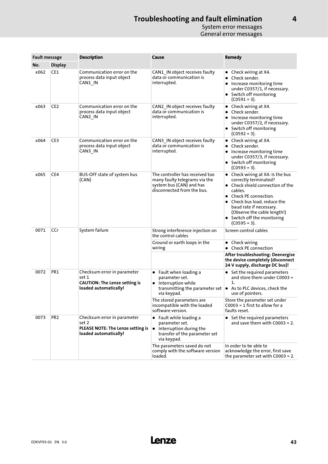| <b>Fault message</b> |                 | <b>Description</b>                                                                                    | Cause                                                                                                                                           | Remedy                                                                                                                                                                                                                                                                      |  |
|----------------------|-----------------|-------------------------------------------------------------------------------------------------------|-------------------------------------------------------------------------------------------------------------------------------------------------|-----------------------------------------------------------------------------------------------------------------------------------------------------------------------------------------------------------------------------------------------------------------------------|--|
| No.                  | <b>Display</b>  |                                                                                                       |                                                                                                                                                 |                                                                                                                                                                                                                                                                             |  |
| x062                 | CE1             | Communication error on the<br>process data input object<br>CAN1 IN                                    | CAN1 IN object receives faulty<br>data or communication is<br>interrupted.                                                                      | • Check wiring at X4.<br>Check sender.<br>$\bullet$<br>Increase monitoring time<br>under C0357/1, if necessary.<br>• Switch off monitoring<br>$(C0591 = 3).$                                                                                                                |  |
| x063                 | CE2             | Communication error on the<br>process data input object<br>CAN2_IN                                    | CAN2 IN object receives faulty<br>data or communication is<br>interrupted.                                                                      | • Check wiring at X4.<br>Check sender.<br>Increase monitoring time<br>٠<br>under C0357/2, if necessary.<br>• Switch off monitoring<br>$(C0592 = 3).$                                                                                                                        |  |
| x064                 | CE3             | Communication error on the<br>process data input object<br>CAN3 IN                                    | CAN3 IN object receives faulty<br>data or communication is<br>interrupted.                                                                      | • Check wiring at $X4$ .<br>Check sender.<br>$\bullet$<br>Increase monitoring time<br>under C0357/3, if necessary.<br>• Switch off monitoring<br>$(C0593 = 3).$                                                                                                             |  |
| x065                 | CE4             | BUS-OFF state of system bus<br>(CAN)                                                                  | The controller has received too<br>many faulty telegrams via the<br>system bus (CAN) and has<br>disconnected from the bus.                      | • Check wiring at X4: Is the bus<br>correctly terminated?<br>• Check shield connection of the<br>cables.<br>• Check PE connection.<br>Check bus load, reduce the<br>baud rate if necessary.<br>(Observe the cable length!)<br>• Switch off the monitoring<br>$(C0595 = 3).$ |  |
| 0071                 | CCr             | System failure                                                                                        | Strong interference injection on<br>the control cables                                                                                          | Screen control cables                                                                                                                                                                                                                                                       |  |
|                      |                 |                                                                                                       | Ground or earth loops in the<br>wiring                                                                                                          | $\bullet$ Check wiring<br><b>Check PE connection</b>                                                                                                                                                                                                                        |  |
|                      |                 |                                                                                                       |                                                                                                                                                 | After troubleshooting: Deenergise<br>the device completely (disconnect<br>24 V supply, discharge DC bus)!                                                                                                                                                                   |  |
| 0072                 | PR1             | Checksum error in parameter<br>set 1<br><b>CAUTION: The Lenze setting is</b><br>loaded automatically! | $\bullet$ Fault when loading a<br>parameter set.<br>• Interruption while<br>transmitting the parameter set $\vert \bullet \vert$<br>via keypad. | • Set the required parameters<br>and store them under C0003 =<br>1.<br>As to PLC devices, check the<br>use of pointers.                                                                                                                                                     |  |
|                      |                 |                                                                                                       | The stored parameters are<br>incompatible with the loaded<br>software version.                                                                  | Store the parameter set under<br>$C0003 = 1$ first to allow for a<br>faults reset.                                                                                                                                                                                          |  |
| 0073                 | PR <sub>2</sub> | Checksum error in parameter<br>set 2<br>PLEASE NOTE: The Lenze setting is<br>loaded automatically!    | • Fault while loading a<br>parameter set.<br>$\bullet$ Interruption during the<br>transfer of the parameter set<br>via keypad.                  | • Set the required parameters<br>and save them with $C0003 = 2$ .                                                                                                                                                                                                           |  |
|                      |                 |                                                                                                       | The parameters saved do not<br>comply with the software version<br>loaded.                                                                      | In order to be able to<br>acknowledge the error, first save<br>the parameter set with $C0003 = 2$ .                                                                                                                                                                         |  |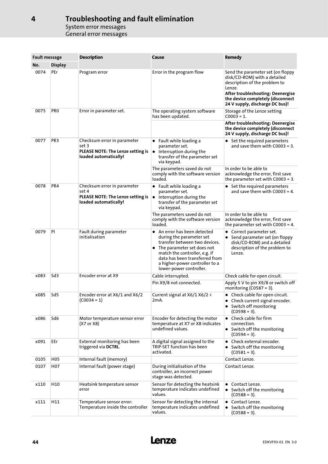| <b>Fault message</b>  |                 | <b>Description</b>                                                                                 | Cause                                                                                                                                                                                                                                                             | <b>Remedy</b>                                                                                                                                                                                                             |  |  |
|-----------------------|-----------------|----------------------------------------------------------------------------------------------------|-------------------------------------------------------------------------------------------------------------------------------------------------------------------------------------------------------------------------------------------------------------------|---------------------------------------------------------------------------------------------------------------------------------------------------------------------------------------------------------------------------|--|--|
| No.<br><b>Display</b> |                 |                                                                                                    |                                                                                                                                                                                                                                                                   |                                                                                                                                                                                                                           |  |  |
| 0074                  | PEr             | Program error                                                                                      | Error in the program flow                                                                                                                                                                                                                                         | Send the parameter set (on floppy<br>disk/CD-ROM) with a detailed<br>description of the problem to<br>Lenze.<br>After troubleshooting: Deenergise<br>the device completely (disconnect<br>24 V supply, discharge DC bus)! |  |  |
| 0075                  | PR <sub>0</sub> | Error in parameter set.                                                                            | The operating system software<br>has been updated.                                                                                                                                                                                                                | Storage of the Lenze setting<br>$C0003 = 1.$                                                                                                                                                                              |  |  |
|                       |                 |                                                                                                    |                                                                                                                                                                                                                                                                   | After troubleshooting: Deenergise<br>the device completely (disconnect<br>24 V supply, discharge DC bus)!                                                                                                                 |  |  |
| 0077                  | PR <sub>3</sub> | Checksum error in parameter<br>set 3<br>PLEASE NOTE: The Lenze setting is<br>loaded automatically! | $\bullet$ Fault while loading a<br>parameter set.<br>$\bullet$ Interruption during the<br>transfer of the parameter set<br>via keypad.                                                                                                                            | • Set the required parameters<br>and save them with $C0003 = 3$ .                                                                                                                                                         |  |  |
|                       |                 |                                                                                                    | The parameters saved do not<br>comply with the software version<br>loaded.                                                                                                                                                                                        | In order to be able to<br>acknowledge the error, first save<br>the parameter set with $C0003 = 3$ .                                                                                                                       |  |  |
| 0078                  | PR4             | Checksum error in parameter<br>set 4<br>PLEASE NOTE: The Lenze setting is<br>loaded automatically! | $\bullet$ Fault while loading a<br>parameter set.<br>• Interruption during the<br>transfer of the parameter set<br>via keypad.                                                                                                                                    | • Set the required parameters<br>and save them with $C0003 = 4$ .                                                                                                                                                         |  |  |
|                       |                 |                                                                                                    | The parameters saved do not<br>comply with the software version<br>loaded.                                                                                                                                                                                        | In order to be able to<br>acknowledge the error, first save<br>the parameter set with $C0003 = 4$ .                                                                                                                       |  |  |
| 0079                  | PI              | Fault during parameter<br>initialisation                                                           | $\bullet$ An error has been detected<br>during the parameter set<br>transfer between two devices.<br>• The parameter set does not<br>match the controller, e.g. if<br>data has been transferred from<br>a higher-power controller to a<br>lower-power controller. | • Correct parameter set.<br>• Send parameter set (on floppy<br>disk/CD-ROM) and a detailed<br>description of the problem to<br>Lenze.                                                                                     |  |  |
| x083                  | Sd <sub>3</sub> | Encoder error at X9                                                                                | Cable interrupted.                                                                                                                                                                                                                                                | Check cable for open circuit.                                                                                                                                                                                             |  |  |
|                       |                 |                                                                                                    | Pin X9/8 not connected.                                                                                                                                                                                                                                           | Apply 5 V to pin X9/8 or switch off<br>monitoring ( $C0587 = 3$ ).                                                                                                                                                        |  |  |
| x085                  | Sd5             | Encoder error at X6/1 and X6/2<br>(C0034 = 1)                                                      | Current signal at X6/1 X6/2 <<br>2mA.                                                                                                                                                                                                                             | • Check cable for open circuit.<br>• Check current signal encoder.<br>• Switch off monitoring<br>$(C0598 = 3).$                                                                                                           |  |  |
| x086                  | Sd6             | Motor temperature sensor error<br>(X7 or X8)                                                       | Encoder for detecting the motor<br>temperature at X7 or X8 indicates<br>undefined values.                                                                                                                                                                         | $\bullet$ Check cable for firm<br>connection.<br>• Switch off the monitoring<br>$(C0594 = 3).$                                                                                                                            |  |  |
| x091                  | EEr             | External monitoring has been<br>triggered via DCTRL.                                               | A digital signal assigned to the<br>TRIP-SET function has been<br>activated.                                                                                                                                                                                      | • Check external encoder.<br>• Switch off the monitoring<br>$(C0581 = 3).$                                                                                                                                                |  |  |
| 0105                  | H05             | Internal fault (memory)                                                                            |                                                                                                                                                                                                                                                                   | Contact Lenze.                                                                                                                                                                                                            |  |  |
| 0107                  | H07             | Internal fault (power stage)                                                                       | During initialisation of the<br>controller, an incorrect power<br>stage was detected.                                                                                                                                                                             | Contact Lenze.                                                                                                                                                                                                            |  |  |
| x110                  | H10             | Heatsink temperature sensor<br>error                                                               | Sensor for detecting the heatsink<br>temperature indicates undefined<br>values.                                                                                                                                                                                   | Contact Lenze.<br>$\bullet$<br>• Switch off the monitoring<br>$(C0588 = 3).$                                                                                                                                              |  |  |
| x111                  | H11             | Temperature sensor error:<br>Temperature inside the controller                                     | Sensor for detecting the internal<br>temperature indicates undefined<br>values.                                                                                                                                                                                   | • Contact Lenze.<br>• Switch off the monitoring<br>$(C0588 = 3).$                                                                                                                                                         |  |  |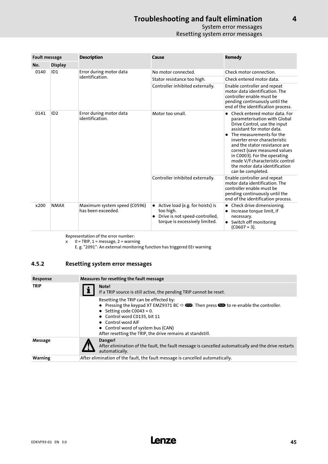# System error messages Resetting system error messages

<span id="page-44-0"></span>

| <b>Fault message</b> |                 | <b>Description</b>                                 | Cause                                                                                                                            | <b>Remedy</b>                                                                                                                                                                                                                                                                                                                                                                      |  |  |
|----------------------|-----------------|----------------------------------------------------|----------------------------------------------------------------------------------------------------------------------------------|------------------------------------------------------------------------------------------------------------------------------------------------------------------------------------------------------------------------------------------------------------------------------------------------------------------------------------------------------------------------------------|--|--|
| No.                  | <b>Display</b>  |                                                    |                                                                                                                                  |                                                                                                                                                                                                                                                                                                                                                                                    |  |  |
| 0140<br>0141         | ID <sub>1</sub> | Error during motor data<br>identification.         | No motor connected.                                                                                                              | Check motor connection.                                                                                                                                                                                                                                                                                                                                                            |  |  |
|                      |                 |                                                    | Stator resistance too high.                                                                                                      | Check entered motor data.                                                                                                                                                                                                                                                                                                                                                          |  |  |
|                      |                 |                                                    | Controller inhibited externally.                                                                                                 | Enable controller and repeat<br>motor data identification. The<br>controller enable must be<br>pending continuously until the<br>end of the identification process.                                                                                                                                                                                                                |  |  |
|                      | ID <sub>2</sub> | Error during motor data<br>identification.         | Motor too small.                                                                                                                 | Check entered motor data. For<br>parameterisation with Global<br>Drive Control, use the input<br>assistant for motor data.<br>The measurements for the<br>inverter error characteristic<br>and the stator resistance are<br>correct (save measured values<br>in C0003). For the operating<br>mode V/f characteristic control<br>the motor data identification<br>can be completed. |  |  |
|                      |                 |                                                    | Controller inhibited externally.                                                                                                 | Enable controller and repeat<br>motor data identification. The<br>controller enable must be<br>pending continuously until the<br>end of the identification process.                                                                                                                                                                                                                |  |  |
| x200                 | <b>NMAX</b>     | Maximum system speed (C0596)<br>has been exceeded. | • Active load (e.g. for hoists) is<br>too high.<br>Drive is not speed-controlled,<br>$\bullet$<br>torque is excessively limited. | Check drive dimensioning.<br>Increase torque limit, if<br>necessary.<br>Switch off monitoring<br>$(C0607 = 3).$                                                                                                                                                                                                                                                                    |  |  |

Representation of the error number:

x 0 = TRIP, 1 = message, 2 = warning

E. g. "2091": An external monitoring function has triggered EEr warning

# 4.5.2 Resetting system error messages

| Response       | Measures for resetting the fault message                                                                                                                                                                                                                                                                                                               |
|----------------|--------------------------------------------------------------------------------------------------------------------------------------------------------------------------------------------------------------------------------------------------------------------------------------------------------------------------------------------------------|
| <b>TRIP</b>    | Note!<br>If a TRIP source is still active, the pending TRIP cannot be reset.                                                                                                                                                                                                                                                                           |
|                | Resetting the TRIP can be effected by:<br>• Pressing the keypad XT EMZ9371 BC $\Leftrightarrow$ <b>GOD</b> . Then press <b>GOD</b> to re-enable the controller.<br>• Setting code C0043 = 0.<br>• Control word C0135, bit 11<br>• Control word AIF<br>• Control word of system bus (CAN)<br>After resetting the TRIP, the drive remains at standstill. |
| Message        | Danger!<br>After elimination of the fault, the fault message is cancelled automatically and the drive restarts<br>automatically.                                                                                                                                                                                                                       |
| <b>Warning</b> | After elimination of the fault, the fault message is cancelled automatically.                                                                                                                                                                                                                                                                          |

[4](#page-31-0)